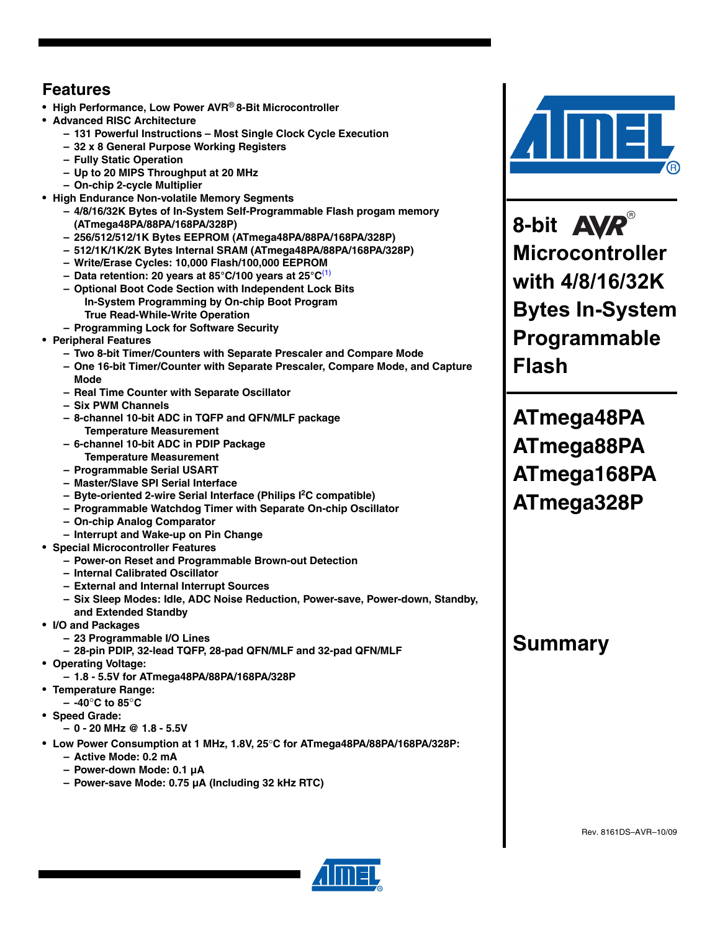# **Features**

- **High Performance, Low Power AVR**® **8-Bit Microcontroller**
- **Advanced RISC Architecture**
	- **131 Powerful Instructions Most Single Clock Cycle Execution**
	- **32 x 8 General Purpose Working Registers**
	- **Fully Static Operation**
	- **Up to 20 MIPS Throughput at 20 MHz**
	- **On-chip 2-cycle Multiplier**
- **High Endurance Non-volatile Memory Segments**
	- **4/8/16/32K Bytes of In-System Self-Programmable Flash progam memory (ATmega48PA/88PA/168PA/328P)**
	- **256/512/512/1K Bytes EEPROM (ATmega48PA/88PA/168PA/328P)**
	- **512/1K/1K/2K Bytes Internal SRAM (ATmega48PA/88PA/168PA/328P)**
	- **Write/Erase Cycles: 10,000 Flash/100,000 EEPROM**
	- **Data retention: 20 years at 85°C/100 years at 25°C**(1)
	- **Optional Boot Code Section with Independent Lock Bits In-System Programming by On-chip Boot Program True Read-While-Write Operation**
	- **Programming Lock for Software Security**
- **Peripheral Features**
	- **Two 8-bit Timer/Counters with Separate Prescaler and Compare Mode**
	- **One 16-bit Timer/Counter with Separate Prescaler, Compare Mode, and Capture Mode**
	- **Real Time Counter with Separate Oscillator**
	- **Six PWM Channels**
	- **8-channel 10-bit ADC in TQFP and QFN/MLF package Temperature Measurement**
	- **6-channel 10-bit ADC in PDIP Package Temperature Measurement**
	- **Programmable Serial USART**
	- **Master/Slave SPI Serial Interface**
	- **Byte-oriented 2-wire Serial Interface (Philips I2 C compatible)**
	- **Programmable Watchdog Timer with Separate On-chip Oscillator**
	- **On-chip Analog Comparator**
	- **Interrupt and Wake-up on Pin Change**
- **Special Microcontroller Features**
	- **Power-on Reset and Programmable Brown-out Detection**
	- **Internal Calibrated Oscillator**
	- **External and Internal Interrupt Sources**
	- **Six Sleep Modes: Idle, ADC Noise Reduction, Power-save, Power-down, Standby, and Extended Standby**
- **I/O and Packages**
	- **23 Programmable I/O Lines**
	- **28-pin PDIP, 32-lead TQFP, 28-pad QFN/MLF and 32-pad QFN/MLF**
- **Operating Voltage:**
- **1.8 5.5V for ATmega48PA/88PA/168PA/328P**
- **Temperature Range:**
	- **-40**°**C to 85**°**C**
- **Speed Grade:**
	- **0 20 MHz @ 1.8 5.5V**
- **Low Power Consumption at 1 MHz, 1.8V, 25**°**C for ATmega48PA/88PA/168PA/328P:**
	- **Active Mode: 0.2 mA**
	- **Power-down Mode: 0.1 µA**
	- **Power-save Mode: 0.75 µA (Including 32 kHz RTC)**



**8-bit Microcontroller with 4/8/16/32K Bytes In-System Programmable Flash**

**ATmega48PA ATmega88PA ATmega168PA ATmega328P**

# **Summary**

Rev. 8161DS–AVR–10/09

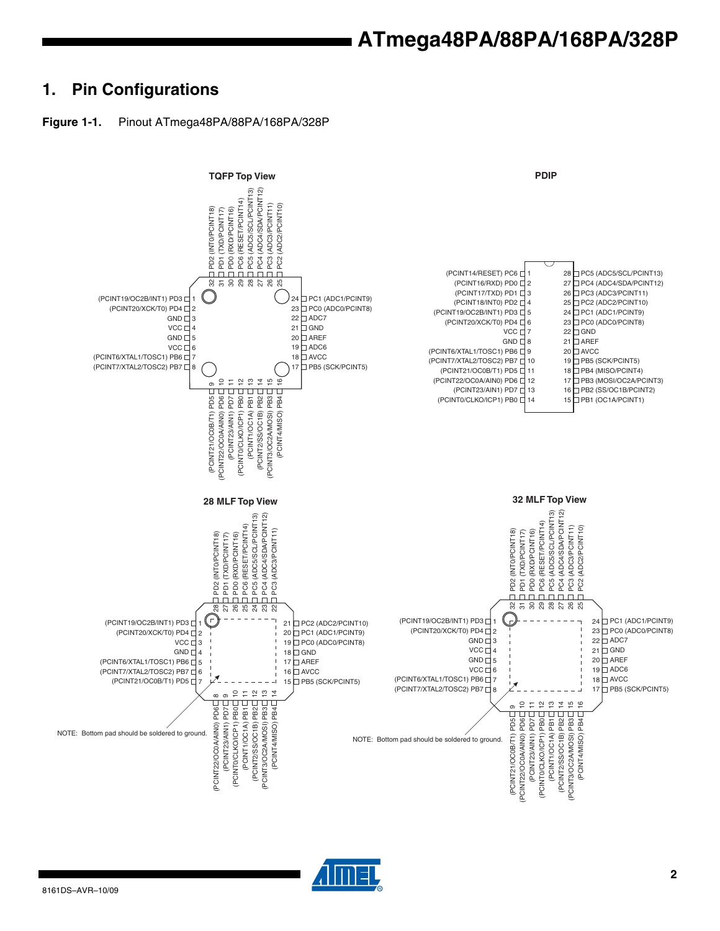## **1. Pin Configurations**





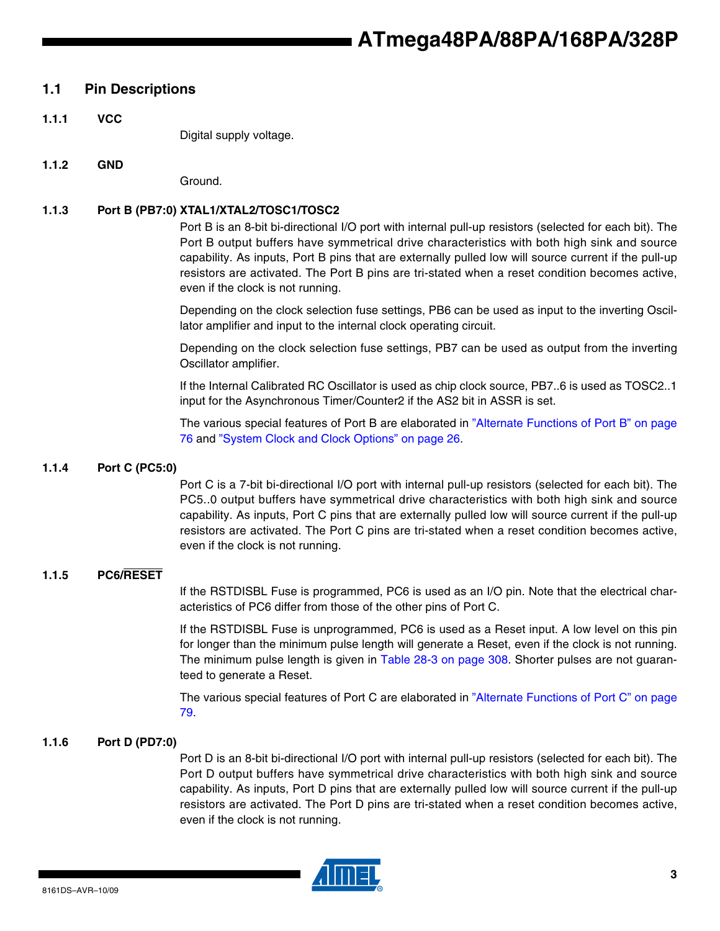### **1.1 Pin Descriptions**

**1.1.1 VCC**

Digital supply voltage.

#### **1.1.2 GND**

Ground.

#### **1.1.3 Port B (PB7:0) XTAL1/XTAL2/TOSC1/TOSC2**

Port B is an 8-bit bi-directional I/O port with internal pull-up resistors (selected for each bit). The Port B output buffers have symmetrical drive characteristics with both high sink and source capability. As inputs, Port B pins that are externally pulled low will source current if the pull-up resistors are activated. The Port B pins are tri-stated when a reset condition becomes active, even if the clock is not running.

Depending on the clock selection fuse settings, PB6 can be used as input to the inverting Oscillator amplifier and input to the internal clock operating circuit.

Depending on the clock selection fuse settings, PB7 can be used as output from the inverting Oscillator amplifier.

If the Internal Calibrated RC Oscillator is used as chip clock source, PB7..6 is used as TOSC2..1 input for the Asynchronous Timer/Counter2 if the AS2 bit in ASSR is set.

The various special features of Port B are elaborated in "Alternate Functions of Port B" on page 76 and "System Clock and Clock Options" on page 26.

#### **1.1.4 Port C (PC5:0)**

Port C is a 7-bit bi-directional I/O port with internal pull-up resistors (selected for each bit). The PC5..0 output buffers have symmetrical drive characteristics with both high sink and source capability. As inputs, Port C pins that are externally pulled low will source current if the pull-up resistors are activated. The Port C pins are tri-stated when a reset condition becomes active, even if the clock is not running.

#### **1.1.5 PC6/RESET**

If the RSTDISBL Fuse is programmed, PC6 is used as an I/O pin. Note that the electrical characteristics of PC6 differ from those of the other pins of Port C.

If the RSTDISBL Fuse is unprogrammed, PC6 is used as a Reset input. A low level on this pin for longer than the minimum pulse length will generate a Reset, even if the clock is not running. The minimum pulse length is given in Table 28-3 on page 308. Shorter pulses are not guaranteed to generate a Reset.

The various special features of Port C are elaborated in "Alternate Functions of Port C" on page 79.

#### **1.1.6 Port D (PD7:0)**

Port D is an 8-bit bi-directional I/O port with internal pull-up resistors (selected for each bit). The Port D output buffers have symmetrical drive characteristics with both high sink and source capability. As inputs, Port D pins that are externally pulled low will source current if the pull-up resistors are activated. The Port D pins are tri-stated when a reset condition becomes active, even if the clock is not running.

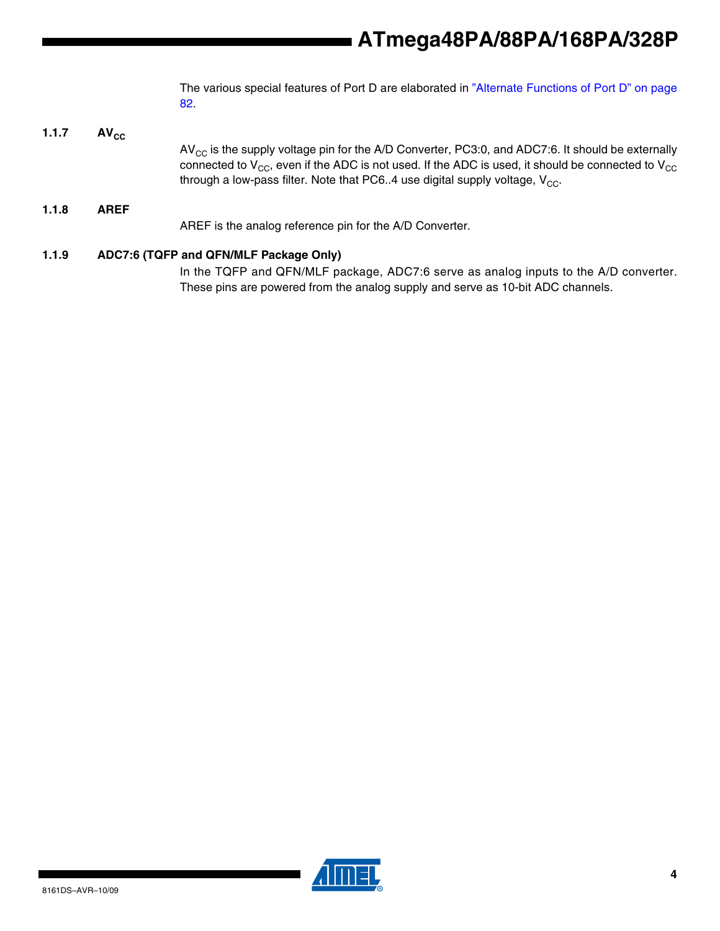The various special features of Port D are elaborated in "Alternate Functions of Port D" on page 82.

**1.1.7** AV<sub>cc</sub>  $AV_{CC}$  is the supply voltage pin for the A/D Converter, PC3:0, and ADC7:6. It should be externally connected to  $V_{CC}$ , even if the ADC is not used. If the ADC is used, it should be connected to  $V_{CC}$ through a low-pass filter. Note that PC6..4 use digital supply voltage,  $V_{CC}$ . **1.1.8 AREF** AREF is the analog reference pin for the A/D Converter.

### **1.1.9 ADC7:6 (TQFP and QFN/MLF Package Only)**

In the TQFP and QFN/MLF package, ADC7:6 serve as analog inputs to the A/D converter. These pins are powered from the analog supply and serve as 10-bit ADC channels.

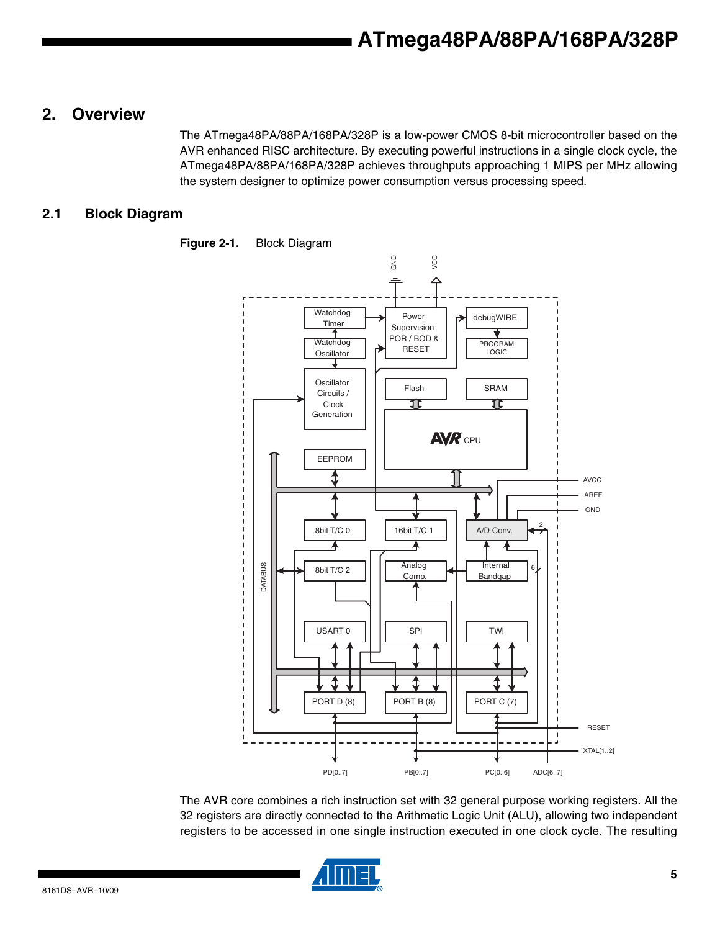### **2. Overview**

The ATmega48PA/88PA/168PA/328P is a low-power CMOS 8-bit microcontroller based on the AVR enhanced RISC architecture. By executing powerful instructions in a single clock cycle, the ATmega48PA/88PA/168PA/328P achieves throughputs approaching 1 MIPS per MHz allowing the system designer to optimize power consumption versus processing speed.

### **2.1 Block Diagram**



**Figure 2-1.** Block Diagram

The AVR core combines a rich instruction set with 32 general purpose working registers. All the 32 registers are directly connected to the Arithmetic Logic Unit (ALU), allowing two independent registers to be accessed in one single instruction executed in one clock cycle. The resulting

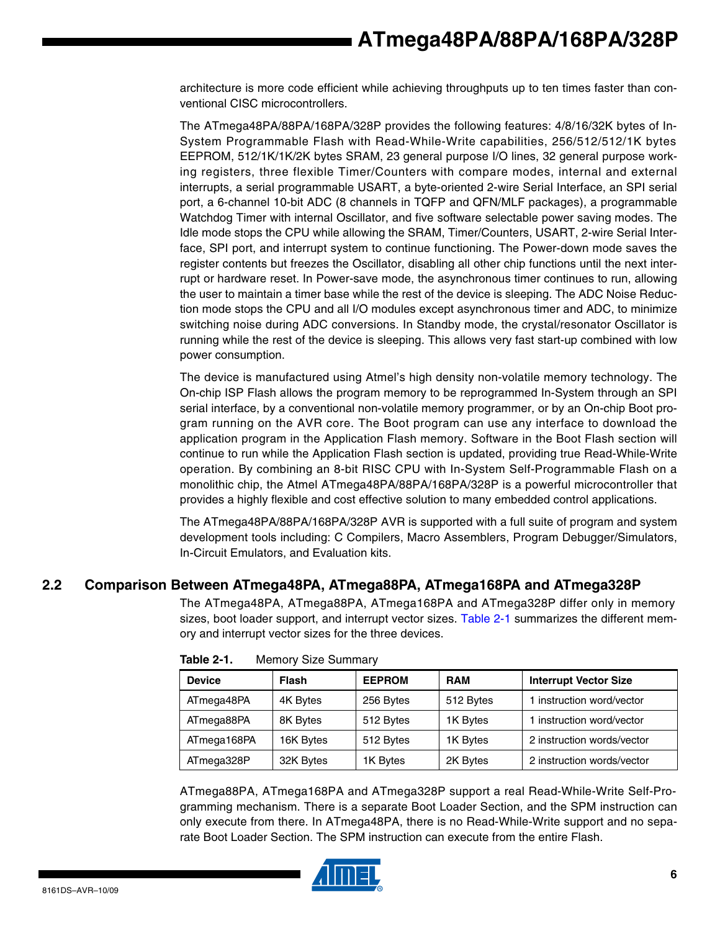architecture is more code efficient while achieving throughputs up to ten times faster than conventional CISC microcontrollers.

The ATmega48PA/88PA/168PA/328P provides the following features: 4/8/16/32K bytes of In-System Programmable Flash with Read-While-Write capabilities, 256/512/512/1K bytes EEPROM, 512/1K/1K/2K bytes SRAM, 23 general purpose I/O lines, 32 general purpose working registers, three flexible Timer/Counters with compare modes, internal and external interrupts, a serial programmable USART, a byte-oriented 2-wire Serial Interface, an SPI serial port, a 6-channel 10-bit ADC (8 channels in TQFP and QFN/MLF packages), a programmable Watchdog Timer with internal Oscillator, and five software selectable power saving modes. The Idle mode stops the CPU while allowing the SRAM, Timer/Counters, USART, 2-wire Serial Interface, SPI port, and interrupt system to continue functioning. The Power-down mode saves the register contents but freezes the Oscillator, disabling all other chip functions until the next interrupt or hardware reset. In Power-save mode, the asynchronous timer continues to run, allowing the user to maintain a timer base while the rest of the device is sleeping. The ADC Noise Reduction mode stops the CPU and all I/O modules except asynchronous timer and ADC, to minimize switching noise during ADC conversions. In Standby mode, the crystal/resonator Oscillator is running while the rest of the device is sleeping. This allows very fast start-up combined with low power consumption.

The device is manufactured using Atmel's high density non-volatile memory technology. The On-chip ISP Flash allows the program memory to be reprogrammed In-System through an SPI serial interface, by a conventional non-volatile memory programmer, or by an On-chip Boot program running on the AVR core. The Boot program can use any interface to download the application program in the Application Flash memory. Software in the Boot Flash section will continue to run while the Application Flash section is updated, providing true Read-While-Write operation. By combining an 8-bit RISC CPU with In-System Self-Programmable Flash on a monolithic chip, the Atmel ATmega48PA/88PA/168PA/328P is a powerful microcontroller that provides a highly flexible and cost effective solution to many embedded control applications.

The ATmega48PA/88PA/168PA/328P AVR is supported with a full suite of program and system development tools including: C Compilers, Macro Assemblers, Program Debugger/Simulators, In-Circuit Emulators, and Evaluation kits.

### **2.2 Comparison Between ATmega48PA, ATmega88PA, ATmega168PA and ATmega328P**

The ATmega48PA, ATmega88PA, ATmega168PA and ATmega328P differ only in memory sizes, boot loader support, and interrupt vector sizes. Table 2-1 summarizes the different memory and interrupt vector sizes for the three devices.

| <b>Device</b> | <b>Flash</b> | <b>EEPROM</b> | <b>RAM</b> | <b>Interrupt Vector Size</b> |
|---------------|--------------|---------------|------------|------------------------------|
| ATmega48PA    | 4K Bytes     | 256 Bytes     | 512 Bytes  | 1 instruction word/vector    |
| ATmega88PA    | 8K Bytes     | 512 Bytes     | 1K Bytes   | 1 instruction word/vector    |
| ATmega168PA   | 16K Bytes    | 512 Bytes     | 1K Bytes   | 2 instruction words/vector   |
| ATmega328P    | 32K Bytes    | 1K Bytes      | 2K Bytes   | 2 instruction words/vector   |

**Table 2-1.** Memory Size Summary

ATmega88PA, ATmega168PA and ATmega328P support a real Read-While-Write Self-Programming mechanism. There is a separate Boot Loader Section, and the SPM instruction can only execute from there. In ATmega48PA, there is no Read-While-Write support and no separate Boot Loader Section. The SPM instruction can execute from the entire Flash.

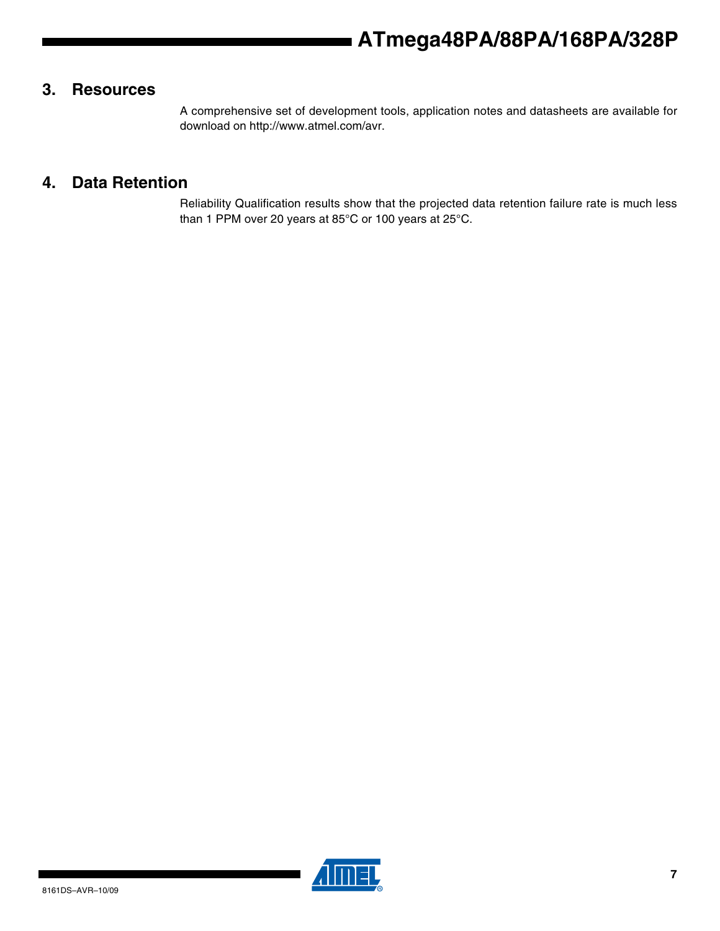### **3. Resources**

A comprehensive set of development tools, application notes and datasheets are available for download on http://www.atmel.com/avr.

### **4. Data Retention**

Reliability Qualification results show that the projected data retention failure rate is much less than 1 PPM over 20 years at 85°C or 100 years at 25°C.

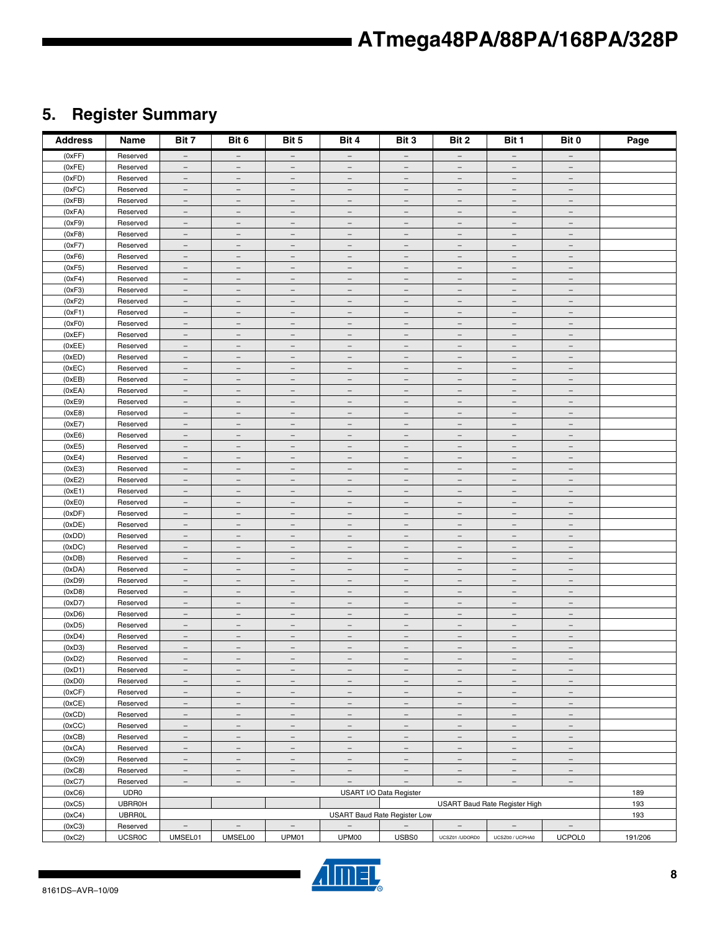# **5. Register Summary**

| <b>Address</b>   | Name                 | Bit 7                                                | Bit 6                                                | Bit 5                                                | Bit 4                                                | Bit 3                                                | Bit 2                                                | Bit 1                                                | Bit 0                                                       | Page    |
|------------------|----------------------|------------------------------------------------------|------------------------------------------------------|------------------------------------------------------|------------------------------------------------------|------------------------------------------------------|------------------------------------------------------|------------------------------------------------------|-------------------------------------------------------------|---------|
| (0xFF)           | Reserved             | $-$                                                  | $\overline{\phantom{m}}$                             | $-$                                                  | $-$                                                  | $-$                                                  | $\overline{\phantom{m}}$                             | $-$                                                  | $-$                                                         |         |
| (0xFE)           | Reserved             | $\qquad \qquad -$                                    | $\overline{\phantom{0}}$                             | $\overline{\phantom{0}}$                             | $\overline{\phantom{0}}$                             | ٠                                                    | $\overline{\phantom{0}}$                             | $\sim$                                               | $\equiv$                                                    |         |
| (0xFD)           | Reserved             | $\equiv$                                             | $\overline{\phantom{a}}$                             | $\equiv$                                             | $\equiv$                                             | $\equiv$                                             | $\overline{\phantom{a}}$                             | $\equiv$                                             | $\equiv$                                                    |         |
| (0xFC)           | Reserved             | $\overline{\phantom{a}}$                             | $\overline{\phantom{a}}$                             | $\overline{\phantom{a}}$                             | $\overline{\phantom{m}}$                             | $\overline{\phantom{a}}$                             | $\overline{\phantom{m}}$                             | $\overline{\phantom{m}}$                             | $\overline{\phantom{0}}$                                    |         |
| (0xFB)           | Reserved             | $\overline{\phantom{a}}$                             | $\overline{\phantom{a}}$                             | $\qquad \qquad -$                                    | $\qquad \qquad -$                                    | $\overline{\phantom{a}}$                             | $\overline{\phantom{0}}$                             | $\overline{\phantom{0}}$                             | $\overline{\phantom{0}}$                                    |         |
| (0xFA)           | Reserved             | $\overline{\phantom{a}}$                             | $\overline{\phantom{m}}$                             | $\overline{\phantom{a}}$                             | $\overline{\phantom{m}}$                             | $\overline{\phantom{a}}$                             | $\overline{\phantom{a}}$                             | $\overline{\phantom{a}}$                             | $\overline{\phantom{a}}$                                    |         |
| (0xF9)           | Reserved             | $\overline{\phantom{m}}$                             | $\overline{\phantom{a}}$                             | $\overline{\phantom{m}}$                             | $\overline{\phantom{m}}$                             | $\overline{\phantom{m}}$                             | $\overline{\phantom{m}}$                             | $\overline{\phantom{m}}$                             | $\overbrace{\phantom{1232211}}$                             |         |
| (0xF8)           | Reserved             | $\overline{\phantom{a}}$<br>$\overline{\phantom{a}}$ | $\overline{\phantom{m}}$<br>$\overline{\phantom{a}}$ | $\overline{\phantom{a}}$<br>$\overline{\phantom{a}}$ | $\overline{\phantom{m}}$<br>$\qquad \qquad -$        | $\overline{\phantom{m}}$<br>$\overline{\phantom{a}}$ | $\overline{\phantom{m}}$<br>$\overline{\phantom{a}}$ | $\overline{\phantom{a}}$<br>$\overline{\phantom{a}}$ | $\overline{\phantom{m}}$<br>$\overline{\phantom{0}}$        |         |
| (0xF7)<br>(0xF6) | Reserved<br>Reserved | $\overline{\phantom{a}}$                             | $\equiv$                                             | $\overline{\phantom{m}}$                             | $\equiv$                                             | $\equiv$                                             | $\overline{\phantom{a}}$                             | $\equiv$                                             | $\qquad \qquad =$                                           |         |
| (0xF5)           | Reserved             | $\overline{\phantom{a}}$                             | $\overline{\phantom{a}}$                             | $\overline{\phantom{a}}$                             | $\overline{\phantom{a}}$                             | $\overline{\phantom{a}}$                             | $\overline{\phantom{a}}$                             | $\overline{\phantom{a}}$                             | $\overline{\phantom{a}}$                                    |         |
| (0xF4)           | Reserved             | $\overline{\phantom{a}}$                             | $\overline{\phantom{m}}$                             | $\overline{\phantom{m}}$                             | $\overline{\phantom{m}}$                             | $\overline{\phantom{m}}$                             | $\overline{\phantom{m}}$                             | $\overline{\phantom{m}}$                             | $\overline{\phantom{m}}$                                    |         |
| (0xF3)           | Reserved             | $-$                                                  | $\overline{\phantom{m}}$                             | $\overline{\phantom{m}}$                             | $\overline{\phantom{m}}$                             | $\overline{\phantom{m}}$                             | $\overline{\phantom{m}}$                             | $\overline{\phantom{m}}$                             | $\overline{\phantom{m}}$                                    |         |
| (0xF2)           | Reserved             | $\qquad \qquad -$                                    | $\equiv$                                             | $\overline{\phantom{0}}$                             | $\equiv$                                             | $\overline{\phantom{m}}$                             | $\overline{\phantom{0}}$                             | $\overline{\phantom{0}}$                             | $\overline{\phantom{0}}$                                    |         |
| (0xF1)           | Reserved             | $\equiv$                                             | $\overline{\phantom{a}}$                             | $\equiv$                                             | $\equiv$                                             | $\equiv$                                             | $\equiv$                                             | $\equiv$                                             | $\overline{\phantom{a}}$                                    |         |
| (0xF0)           | Reserved             | $\overline{\phantom{m}}$                             | $\equiv$                                             | $\overline{\phantom{a}}$                             | $\overline{\phantom{m}}$                             | $\overline{\phantom{a}}$                             | $\overline{\phantom{m}}$                             | $\overline{\phantom{m}}$                             | $\overbrace{\phantom{1232211}}$                             |         |
| (0xEF)           | Reserved             | $\overline{\phantom{a}}$                             | $\overline{\phantom{a}}$                             | $\qquad \qquad -$                                    | $\qquad \qquad -$                                    | $\overline{\phantom{a}}$                             | $\overline{\phantom{a}}$                             | $\overline{\phantom{0}}$                             | $\overline{\phantom{0}}$                                    |         |
| (0xEE)           | Reserved             | $\overline{\phantom{a}}$                             | $\overline{\phantom{m}}$                             | $\overline{\phantom{a}}$                             | $\overline{\phantom{a}}$                             | $\overline{\phantom{a}}$                             | $\overline{\phantom{m}}$                             | $\overline{\phantom{a}}$                             | $\overline{\phantom{a}}$                                    |         |
| (0xED)           | Reserved             | $\overline{\phantom{m}}$                             | $\overline{\phantom{a}}$                             | $\overline{\phantom{m}}$                             | $\overline{\phantom{m}}$                             | $\overline{\phantom{m}}$                             | $\overline{\phantom{m}}$                             | $\overline{\phantom{m}}$                             | $\overbrace{\phantom{1232211}}$                             |         |
| (0xEC)           | Reserved             | $\overline{\phantom{a}}$                             | $\overline{\phantom{m}}$                             | $\overline{\phantom{a}}$                             | $\overline{\phantom{m}}$                             | $\overline{\phantom{m}}$                             | $\overline{\phantom{m}}$                             | $\overline{\phantom{m}}$                             | $\overline{\phantom{a}}$                                    |         |
| (0xEB)           | Reserved             | $\overline{\phantom{a}}$                             | $\overline{\phantom{a}}$                             | $\overline{\phantom{a}}$                             | $\qquad \qquad -$                                    | $\overline{\phantom{a}}$                             | $\overline{\phantom{m}}$                             | $\overline{\phantom{a}}$                             | $\overline{\phantom{0}}$                                    |         |
| (0xEA)           | Reserved             | $\overline{\phantom{a}}$                             | $\equiv$                                             | $\overline{\phantom{m}}$                             | $\equiv$                                             | $\equiv$                                             | $\overline{\phantom{m}}$                             | $\overline{\phantom{m}}$                             | $\qquad \qquad =$                                           |         |
| (0xE9)           | Reserved             | $\overline{\phantom{a}}$                             | $\overline{\phantom{a}}$                             | $\qquad \qquad -$                                    | $\qquad \qquad -$                                    | $\overline{\phantom{a}}$                             | $\overline{\phantom{a}}$                             | $\overline{\phantom{a}}$                             | $\qquad \qquad -$                                           |         |
| (0xE8)           | Reserved             | $\overline{\phantom{a}}$                             | $\overline{\phantom{m}}$                             | $\overline{\phantom{m}}$                             | $\overline{\phantom{m}}$                             | $\overline{\phantom{m}}$                             | $\overline{\phantom{m}}$                             | $\overline{\phantom{m}}$                             | $\overline{\phantom{m}}$                                    |         |
| (0xE7)           | Reserved             | $-$                                                  | $\overline{\phantom{m}}$                             | $\overline{\phantom{m}}$                             | $\overline{\phantom{m}}$                             | $\overline{\phantom{m}}$                             | $\overline{\phantom{m}}$                             | $\overline{\phantom{m}}$                             | $\overline{\phantom{a}}$                                    |         |
| (0xE6)           | Reserved             | $\qquad \qquad -$                                    | $\overline{\phantom{m}}$                             | $\overline{\phantom{0}}$                             | $\overline{\phantom{m}}$                             | $\overline{\phantom{m}}$                             | $\overbrace{\phantom{1232211}}$                      | $\overline{\phantom{0}}$                             | $\overline{\phantom{0}}$                                    |         |
| (0xE5)           | Reserved             | $\equiv$                                             | $\equiv$                                             | $\equiv$                                             | $\equiv$                                             | $\equiv$                                             | $\equiv$                                             | $\equiv$                                             | $\equiv$                                                    |         |
| (0xE4)           | Reserved             | $\overline{\phantom{m}}$                             | $\equiv$                                             | $\overline{\phantom{a}}$                             | $\overline{\phantom{m}}$                             | $\overline{\phantom{a}}$                             | $\overline{\phantom{m}}$                             | $\overline{\phantom{m}}$                             | $\overbrace{\phantom{1232211}}$                             |         |
| (0xE3)           | Reserved<br>Reserved | $\overline{\phantom{a}}$                             | $\overline{\phantom{a}}$                             | $\qquad \qquad -$                                    | $\overline{\phantom{0}}$                             | $\overline{\phantom{a}}$                             | $\overline{\phantom{0}}$                             | $\overline{\phantom{0}}$                             | $\overline{\phantom{0}}$                                    |         |
| (0xE2)<br>(0xE1) | Reserved             | $\overline{\phantom{a}}$                             | $\overline{\phantom{m}}$<br>$\overline{\phantom{a}}$ | $\overline{\phantom{a}}$<br>$\overline{\phantom{m}}$ | $\overline{\phantom{a}}$<br>$\overline{\phantom{m}}$ | $\overline{\phantom{a}}$<br>$\overline{\phantom{m}}$ | $\overline{\phantom{a}}$<br>$\overline{\phantom{m}}$ | $\overline{\phantom{a}}$<br>$\overline{\phantom{m}}$ | $\overline{\phantom{a}}$<br>$\overbrace{\phantom{1232211}}$ |         |
| (0xE0)           | Reserved             | $\overline{\phantom{a}}$<br>$\overline{\phantom{a}}$ | $\overline{\phantom{m}}$                             | $\overline{\phantom{a}}$                             | $\overline{\phantom{m}}$                             | $\overline{\phantom{m}}$                             | $\overline{\phantom{m}}$                             | $\overline{\phantom{m}}$                             | $\overline{\phantom{a}}$                                    |         |
| (0xDF)           | Reserved             | $\overline{\phantom{a}}$                             | $\overline{\phantom{a}}$                             | $\overline{\phantom{a}}$                             | $\qquad \qquad -$                                    | $\equiv$                                             | $\overline{\phantom{a}}$                             | $\overline{\phantom{a}}$                             | $\overline{\phantom{0}}$                                    |         |
| (0xDE)           | Reserved             | $\overline{\phantom{a}}$                             | $\equiv$                                             | $\overline{\phantom{m}}$                             | $\equiv$                                             | $\overline{\phantom{a}}$                             | $\overline{\phantom{m}}$                             | $\overline{\phantom{m}}$                             | $\qquad \qquad =$                                           |         |
| (0xDD)           | Reserved             | $\overline{\phantom{a}}$                             | $\overline{\phantom{a}}$                             | $\qquad \qquad -$                                    | $\overline{\phantom{a}}$                             | $\overline{\phantom{a}}$                             | $\overline{\phantom{a}}$                             | $\overline{\phantom{a}}$                             | $\overline{\phantom{a}}$                                    |         |
| (0xDC)           | Reserved             | $\overline{\phantom{a}}$                             | $\overline{\phantom{m}}$                             | $\overline{\phantom{m}}$                             | $\overline{\phantom{m}}$                             | $\overline{\phantom{m}}$                             | $\overline{\phantom{m}}$                             | $\overline{\phantom{m}}$                             | $\overline{\phantom{m}}$                                    |         |
| (0xDB)           | Reserved             | $-$                                                  | $\overline{\phantom{m}}$                             | $\overline{\phantom{m}}$                             | $\overline{\phantom{a}}$                             | $\overline{\phantom{m}}$                             | $\overline{\phantom{m}}$                             | $\overline{\phantom{m}}$                             | $\overline{\phantom{a}}$                                    |         |
| (0xDA)           | Reserved             | $\qquad \qquad -$                                    | $\overline{\phantom{m}}$                             | $\overline{\phantom{0}}$                             | $\equiv$                                             | $\overline{\phantom{m}}$                             | $\overline{\phantom{0}}$                             | $\overline{\phantom{0}}$                             | $\overline{\phantom{0}}$                                    |         |
| (0xD9)           | Reserved             | $\equiv$                                             | $\equiv$                                             | $\equiv$                                             | $\equiv$                                             | $\equiv$                                             | $\equiv$                                             | $\equiv$                                             | $\equiv$                                                    |         |
| (0xD8)           | Reserved             | $\overline{\phantom{m}}$                             | $\overline{\phantom{a}}$                             | $\overline{\phantom{m}}$                             | $\overline{\phantom{m}}$                             | $\overline{\phantom{a}}$                             | $\overline{\phantom{m}}$                             | $\overline{\phantom{m}}$                             | $\overline{\phantom{0}}$                                    |         |
| (0xD7)           | Reserved             | $\overline{\phantom{a}}$                             | $\overline{\phantom{m}}$                             | $\qquad \qquad -$                                    | $\overline{\phantom{0}}$                             | $\overline{\phantom{a}}$                             | $\overline{\phantom{0}}$                             | $\overline{\phantom{0}}$                             | $\overline{\phantom{0}}$                                    |         |
| (0xD6)           | Reserved             | $\overline{\phantom{a}}$                             | $\overline{\phantom{m}}$                             | $\overline{\phantom{a}}$                             | $\overline{\phantom{a}}$                             | $\overline{\phantom{a}}$                             | $\overline{\phantom{m}}$                             | $\overline{\phantom{m}}$                             | $\overline{\phantom{a}}$                                    |         |
| (0xD5)           | Reserved             | $\overline{\phantom{a}}$                             | $\overline{\phantom{m}}$                             | $\overline{\phantom{m}}$                             | $\overline{\phantom{m}}$                             | $\overline{\phantom{m}}$                             | $\overline{\phantom{m}}$                             | $\overline{\phantom{m}}$                             | $\overline{\phantom{0}}$                                    |         |
| (0xD4)           | Reserved             | $\overline{\phantom{a}}$                             | $\overline{\phantom{a}}$                             | $\overline{\phantom{a}}$                             | $\overline{\phantom{m}}$                             | $\overline{\phantom{m}}$                             | $\overline{\phantom{a}}$                             | $\overline{\phantom{a}}$                             | $\overline{\phantom{a}}$                                    |         |
| (0xD3)           | Reserved             | $\overline{\phantom{0}}$                             | $\overline{\phantom{m}}$                             | $\overline{\phantom{a}}$                             | $\overline{\phantom{a}}$                             | $\overline{\phantom{a}}$                             | $\qquad \qquad -$                                    | $\overline{\phantom{a}}$                             | $\overline{\phantom{a}}$                                    |         |
| (0xD2)           | Reserved             |                                                      |                                                      |                                                      |                                                      |                                                      |                                                      |                                                      |                                                             |         |
| (0xD1)<br>(0xD0) | Reserved<br>Reserved | $\overline{\phantom{a}}$<br>$\overline{\phantom{a}}$ | $\overline{\phantom{a}}$<br>$\overline{\phantom{m}}$ | $\overline{\phantom{a}}$<br>$\overline{\phantom{a}}$ | $\overline{\phantom{a}}$<br>$\overline{\phantom{a}}$ | $\overline{\phantom{a}}$<br>$\overline{\phantom{a}}$ | $\overline{\phantom{a}}$<br>$\overline{\phantom{a}}$ | $\overline{\phantom{a}}$<br>$\overline{\phantom{a}}$ | $\overline{\phantom{a}}$<br>$\overline{\phantom{a}}$        |         |
| (0xCF)           | Reserved             | $\overline{\phantom{a}}$                             | $\overline{\phantom{a}}$                             | $\overline{\phantom{a}}$                             | $-$                                                  | $\overline{\phantom{m}}$                             | $\overline{\phantom{m}}$                             | $\overline{\phantom{m}}$                             | $\overline{\phantom{m}}$                                    |         |
| (0xCE)           | Reserved             | $\overline{\phantom{a}}$                             | $\overline{\phantom{a}}$                             | $\overline{\phantom{a}}$                             | $\qquad \qquad -$                                    | $\overline{\phantom{a}}$                             | $\overline{\phantom{a}}$                             | $\overline{\phantom{a}}$                             | $\overline{\phantom{a}}$                                    |         |
| (0xCD)           | Reserved             | $\equiv$                                             | $\equiv$                                             | $\equiv$                                             | $\equiv$                                             | $\equiv$                                             | $\equiv$                                             | $\equiv$                                             | $\equiv$                                                    |         |
| (0xCC)           | Reserved             | $\overline{\phantom{a}}$                             | $\overline{\phantom{m}}$                             | $\overline{\phantom{a}}$                             | $\overline{\phantom{m}}$                             | $\overline{\phantom{a}}$                             | $\overline{\phantom{a}}$                             | $\overline{\phantom{a}}$                             | $\overline{\phantom{a}}$                                    |         |
| (0xCB)           | Reserved             | $\overline{\phantom{a}}$                             | $\overline{\phantom{a}}$                             | $\overline{\phantom{a}}$                             | $\qquad \qquad -$                                    | $\overline{\phantom{a}}$                             | $\overline{\phantom{a}}$                             | $\overline{\phantom{a}}$                             | $\overline{\phantom{a}}$                                    |         |
| (0xCA)           | Reserved             | $\overline{\phantom{a}}$                             | $\overline{\phantom{a}}$                             | $\overline{\phantom{a}}$                             | $\overline{\phantom{a}}$                             | $\overline{\phantom{a}}$                             | $\overline{\phantom{a}}$                             | $\overline{\phantom{a}}$                             | $\overline{\phantom{a}}$                                    |         |
| (0xC9)           | Reserved             | $\overline{\phantom{a}}$                             | $\overline{\phantom{m}}$                             | $\overline{\phantom{a}}$                             | $\overline{\phantom{m}}$                             | $\overline{\phantom{m}}$                             | $\overline{\phantom{m}}$                             | $\overline{\phantom{m}}$                             | $\overline{\phantom{a}}$                                    |         |
| (0xC8)           | Reserved             | $\overline{\phantom{a}}$                             | $\overline{\phantom{m}}$                             | $\overline{\phantom{a}}$                             | $\overline{\phantom{m}}$                             | $-$                                                  | $\overline{\phantom{m}}$                             | $\overline{\phantom{m}}$                             | $\overline{\phantom{m}}$                                    |         |
| (0xC7)           | Reserved             | $\overline{\phantom{0}}$                             | $\overline{\phantom{a}}$                             | $\overline{\phantom{a}}$                             | $\overline{\phantom{a}}$                             | $\overline{\phantom{a}}$                             | $\overline{\phantom{a}}$                             | $\overline{\phantom{a}}$                             | $\overline{\phantom{a}}$                                    |         |
| (0xC6)           | UDR0                 |                                                      |                                                      |                                                      |                                                      | USART I/O Data Register                              |                                                      |                                                      |                                                             | 189     |
| (0xC5)           | <b>UBRR0H</b>        |                                                      |                                                      |                                                      |                                                      |                                                      |                                                      | <b>USART Baud Rate Register High</b>                 |                                                             | 193     |
| (0xC4)           | <b>UBRR0L</b>        |                                                      |                                                      |                                                      |                                                      | USART Baud Rate Register Low                         |                                                      |                                                      |                                                             | 193     |
| (0xC3)           | Reserved             | $\overline{\phantom{a}}$                             | $\overline{\phantom{a}}$                             | $\overline{\phantom{m}}$                             | $\overline{\phantom{a}}$                             | $\overline{\phantom{a}}$                             | $\overline{\phantom{a}}$                             | $\overline{\phantom{m}}$                             | $\overline{\phantom{a}}$                                    |         |
| (0xC2)           | <b>UCSR0C</b>        | UMSEL01                                              | UMSEL00                                              | UPM01                                                | UPM00                                                | USBS0                                                | UCSZ01/UDORD0                                        | UCSZ00 / UCPHA0                                      | <b>UCPOL0</b>                                               | 191/206 |

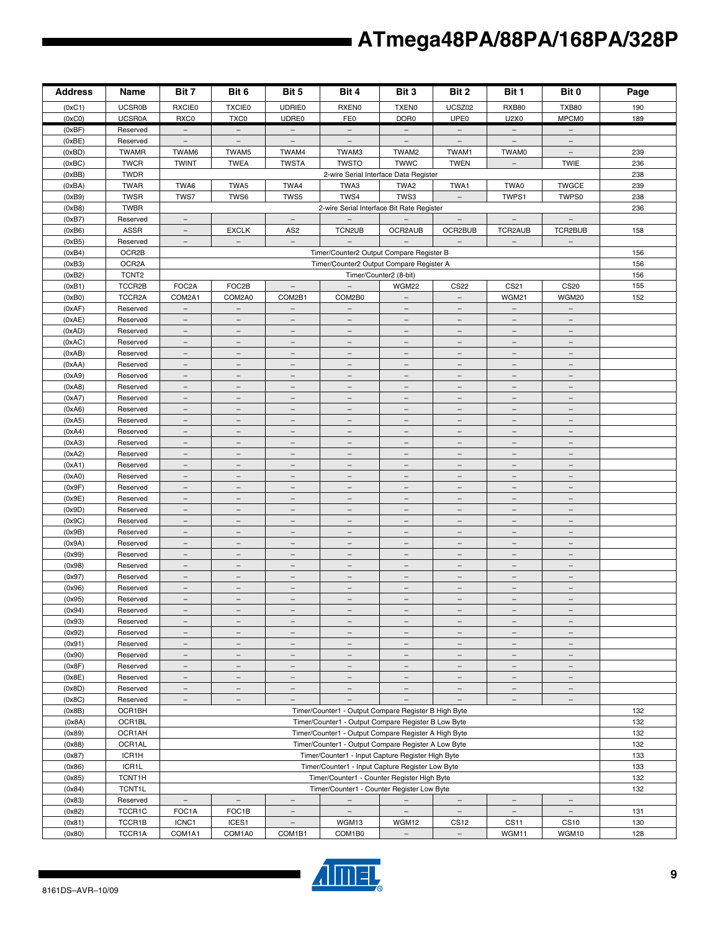| <b>Address</b>   | Name                    | Bit 7                                                                                                       | Bit 6                                                | Bit 5                                                | Bit 4                                         | Bit 3                                                | Bit 2                                         | Bit 1                                         | Bit 0                                | Page |
|------------------|-------------------------|-------------------------------------------------------------------------------------------------------------|------------------------------------------------------|------------------------------------------------------|-----------------------------------------------|------------------------------------------------------|-----------------------------------------------|-----------------------------------------------|--------------------------------------|------|
| (0xC1)           | <b>UCSR0B</b>           | <b>RXCIE0</b>                                                                                               | <b>TXCIE0</b>                                        | <b>UDRIE0</b>                                        | <b>RXEN0</b>                                  | <b>TXEN0</b>                                         | UCSZ02                                        | <b>RXB80</b>                                  | <b>TXB80</b>                         | 190  |
| (0xC0)           | <b>UCSR0A</b>           | RXC0                                                                                                        | TXC0                                                 | UDRE0                                                | FE0                                           | DOR <sub>0</sub>                                     | UPE <sub>0</sub>                              | U2X0                                          | <b>MPCM0</b>                         | 189  |
| (0xBF)           | Reserved                | $-$                                                                                                         | $-$                                                  | $\overline{\phantom{a}}$                             | $-$                                           | $-$                                                  | $-$                                           | $-$                                           | $-$                                  |      |
| (0xBE)           | Reserved                | $\overline{\phantom{a}}$                                                                                    | $\overline{\phantom{a}}$                             | $\qquad \qquad -$                                    | $\qquad \qquad -$                             | $\overline{\phantom{a}}$                             | $\overline{\phantom{m}}$                      | $\equiv$                                      | $\qquad \qquad -$                    |      |
| (0xBD)           | <b>TWAMR</b>            | TWAM6                                                                                                       | TWAM5                                                | TWAM4                                                | TWAM3                                         | TWAM2                                                | TWAM1                                         | TWAM0                                         | $\qquad \qquad -$                    | 239  |
| (0xBC)           | <b>TWCR</b>             | <b>TWINT</b>                                                                                                | <b>TWEA</b>                                          | <b>TWSTA</b>                                         | <b>TWSTO</b>                                  | <b>TWWC</b>                                          | <b>TWEN</b>                                   | $\overline{\phantom{a}}$                      | <b>TWIE</b>                          | 236  |
| (0xBB)           | <b>TWDR</b>             |                                                                                                             |                                                      |                                                      | 2-wire Serial Interface Data Register         |                                                      |                                               |                                               |                                      | 238  |
| (0xBA)           | <b>TWAR</b>             | TWA6                                                                                                        | TWA5                                                 | TWA4                                                 | TWA3                                          | TWA2                                                 | TWA1                                          | TWA0                                          | <b>TWGCE</b>                         | 239  |
| (0xB9)           | <b>TWSR</b>             | TWS7                                                                                                        | TWS6                                                 | TWS5                                                 | TWS4                                          | TWS3                                                 | $\overline{\phantom{a}}$                      | TWPS1                                         | TWPS0                                | 238  |
| (0xB8)           | <b>TWBR</b>             |                                                                                                             |                                                      |                                                      | 2-wire Serial Interface Bit Rate Register     |                                                      |                                               |                                               |                                      | 236  |
| (0xB7)           | Reserved<br><b>ASSR</b> | $\overline{\phantom{a}}$<br>$\overline{\phantom{m}}$                                                        |                                                      | $\overline{\phantom{a}}$                             |                                               |                                                      | $\overline{\phantom{a}}$                      | $\overline{\phantom{a}}$                      | $\qquad \qquad -$<br>TCR2BUB         | 158  |
| (0xB6)<br>(0xB5) | Reserved                | $\overline{\phantom{a}}$                                                                                    | <b>EXCLK</b><br>$\overline{\phantom{a}}$             | AS <sub>2</sub><br>$\overline{\phantom{a}}$          | TCN2UB<br>$\overline{\phantom{0}}$            | OCR2AUB<br>$\overline{\phantom{a}}$                  | OCR2BUB<br>$\overline{\phantom{a}}$           | TCR2AUB<br>$\overline{\phantom{a}}$           | $\overline{\phantom{a}}$             |      |
| (0xB4)           | OCR2B                   |                                                                                                             |                                                      |                                                      | Timer/Counter2 Output Compare Register B      |                                                      |                                               |                                               |                                      | 156  |
| (0xB3)           | OCR <sub>2</sub> A      |                                                                                                             |                                                      |                                                      | Timer/Counter2 Output Compare Register A      |                                                      |                                               |                                               |                                      | 156  |
| (0xB2)           | TCNT <sub>2</sub>       |                                                                                                             |                                                      |                                                      |                                               | Timer/Counter2 (8-bit)                               |                                               |                                               |                                      | 156  |
| (0xB1)           | TCCR2B                  | FOC2A                                                                                                       | FOC2B                                                | $\qquad \qquad -$                                    |                                               | <b>WGM22</b>                                         | <b>CS22</b>                                   | CS21                                          | <b>CS20</b>                          | 155  |
| (0xB0)           | TCCR2A                  | COM2A1                                                                                                      | COM2A0                                               | COM2B1                                               | COM2B0                                        | $\overline{\phantom{a}}$                             | $\overline{\phantom{a}}$                      | WGM21                                         | WGM20                                | 152  |
| (0xAF)           | Reserved                | $\overline{\phantom{a}}$                                                                                    | $\overline{\phantom{m}}$                             | $\overline{\phantom{0}}$                             | $\overline{\phantom{0}}$                      |                                                      |                                               | $\overline{\phantom{0}}$                      | $\equiv$                             |      |
| (0xAE)           | Reserved                | $\overline{\phantom{m}}$                                                                                    | $\overline{\phantom{a}}$                             | $\overline{\phantom{a}}$                             | $\overline{\phantom{a}}$                      | $\overline{\phantom{a}}$                             | $\overline{\phantom{a}}$                      | $\overline{\phantom{a}}$                      | $\overline{\phantom{a}}$             |      |
| (0xAD)           | Reserved                | $\overline{\phantom{0}}$                                                                                    | $\overline{\phantom{0}}$                             | $\overline{\phantom{0}}$                             |                                               | $\overline{\phantom{0}}$                             | $\qquad \qquad -$                             | $\qquad \qquad -$                             |                                      |      |
| (0xAC)           | Reserved                | $\equiv$                                                                                                    | $\equiv$                                             | $\overline{\phantom{0}}$                             | $\equiv$                                      | $\overline{\phantom{0}}$                             | $\equiv$                                      | $\overline{\phantom{a}}$                      | L.                                   |      |
| (0xAB)           | Reserved                | $\overline{\phantom{a}}$                                                                                    | $\overline{\phantom{a}}$                             | $\qquad \qquad -$                                    | $\qquad \qquad -$                             | $\overline{\phantom{a}}$                             | $\overline{\phantom{a}}$                      | $\overline{\phantom{a}}$                      | $\qquad \qquad -$                    |      |
| (0xAA)           | Reserved                | $=$                                                                                                         |                                                      |                                                      |                                               |                                                      | $\overline{\phantom{m}}$                      | $\overline{\phantom{a}}$                      |                                      |      |
| (0xA9)           | Reserved                | $\overline{\phantom{a}}$                                                                                    | $\overline{\phantom{a}}$                             | $\overline{\phantom{m}}$                             | $\overline{\phantom{m}}$                      | $\overline{\phantom{a}}$                             | $\overline{\phantom{a}}$                      | $\overline{\phantom{m}}$                      | $\overline{\phantom{m}}$             |      |
| (0xA8)           | Reserved                | $\overline{\phantom{0}}$                                                                                    | $\overline{\phantom{0}}$                             | $\qquad \qquad -$                                    | $\overline{\phantom{0}}$                      | $\qquad \qquad -$                                    | $\overline{\phantom{a}}$                      | $\qquad \qquad -$                             | $\overline{\phantom{m}}$             |      |
| (0xA7)           | Reserved                | $\equiv$                                                                                                    | $\equiv$                                             | $\qquad \qquad -$                                    | $\equiv$                                      | $\equiv$                                             | $\equiv$                                      | $\equiv$                                      | $\qquad \qquad -$                    |      |
| (0xA6)           | Reserved                | $\overline{\phantom{a}}$                                                                                    | $\overline{\phantom{0}}$                             | $\qquad \qquad -$                                    | $\equiv$                                      | $\overline{\phantom{m}}$                             | $\overline{\phantom{a}}$                      | $\overline{\phantom{a}}$                      | $\equiv$                             |      |
| (0xA5)           | Reserved                | $\overline{\phantom{a}}$                                                                                    | $\overline{\phantom{0}}$                             | $\overline{\phantom{0}}$                             | $\overline{\phantom{0}}$                      | $\qquad \qquad -$                                    | $\overline{\phantom{a}}$                      | $\qquad \qquad -$                             |                                      |      |
| (0xA4)           | Reserved                | $\overline{\phantom{a}}$                                                                                    | $\overline{\phantom{a}}$                             | $\overline{\phantom{a}}$                             | $\overline{\phantom{m}}$                      | $\overline{\phantom{a}}$                             | $\overline{\phantom{a}}$                      | $\overline{\phantom{a}}$                      | $\overline{\phantom{a}}$             |      |
| (0xA3)           | Reserved                | -                                                                                                           |                                                      |                                                      |                                               |                                                      | $\overline{\phantom{0}}$                      | $\overline{\phantom{a}}$                      |                                      |      |
| (0xA2)           | Reserved                | $\overline{\phantom{a}}$<br>$\overline{\phantom{0}}$                                                        | $\overline{\phantom{a}}$<br>$\overline{\phantom{0}}$ | $\overline{\phantom{a}}$<br>$\overline{\phantom{0}}$ | $\qquad \qquad -$<br>$\overline{\phantom{0}}$ | $\overline{\phantom{a}}$<br>$\overline{\phantom{0}}$ | $\overline{\phantom{a}}$<br>$\qquad \qquad -$ | $\overline{\phantom{a}}$<br>$\qquad \qquad -$ | $\overline{\phantom{m}}$             |      |
| (0xA1)<br>(0xA0) | Reserved<br>Reserved    | $\equiv$                                                                                                    | $\overline{\phantom{a}}$                             | $\qquad \qquad -$                                    | $\equiv$                                      | $\overline{\phantom{a}}$                             | $\overline{\phantom{a}}$                      | $\overline{\phantom{a}}$                      | L.                                   |      |
| (0x9F)           | Reserved                | $\overline{\phantom{a}}$                                                                                    | $\overline{\phantom{a}}$                             | $\qquad \qquad -$                                    | $\overline{\phantom{a}}$                      | $\overline{\phantom{a}}$                             | $\overline{\phantom{a}}$                      | $\overline{\phantom{a}}$                      | $\qquad \qquad -$                    |      |
| (0x9E)           | Reserved                | $\qquad \qquad -$                                                                                           | $\overline{\phantom{0}}$                             | $\overline{\phantom{0}}$                             | $\overline{\phantom{0}}$                      | $\qquad \qquad -$                                    | $\overline{\phantom{m}}$                      | $\overline{\phantom{m}}$                      |                                      |      |
| (0x9D)           | Reserved                | $\overline{\phantom{a}}$                                                                                    | $\overline{\phantom{m}}$                             | $\overline{\phantom{m}}$                             | $\qquad \qquad -$                             | $\overline{\phantom{m}}$                             | $\overline{\phantom{m}}$                      | $\overline{\phantom{m}}$                      | $\overline{\phantom{m}}$             |      |
| (0x9C)           | Reserved                | $\equiv$                                                                                                    | $\overline{\phantom{a}}$                             | $\overline{\phantom{0}}$                             | $\equiv$                                      | $\equiv$                                             | $\equiv$                                      | $\overline{\phantom{a}}$                      |                                      |      |
| (0x9B)           | Reserved                | $\equiv$                                                                                                    | $\equiv$                                             | $\bar{ }$                                            | $\equiv$                                      | $\equiv$                                             | $\equiv$                                      | $\equiv$                                      | $\overline{\phantom{a}}$             |      |
| (0x9A)           | Reserved                | $\overline{\phantom{a}}$                                                                                    | $\overline{\phantom{0}}$                             | $\overline{\phantom{0}}$                             | $\overline{\phantom{m}}$                      | $\overline{\phantom{m}}$                             | $\overline{\phantom{a}}$                      | $\qquad \qquad -$                             | $\overline{\phantom{m}}$             |      |
| (0x99)           | Reserved                | $\overline{\phantom{a}}$                                                                                    | $\overline{\phantom{0}}$                             | $\overline{\phantom{0}}$                             | $\equiv$                                      | $\qquad \qquad -$                                    | $\overline{\phantom{a}}$                      | $\overline{\phantom{0}}$                      |                                      |      |
| (0x98)           | Reserved                | $\overline{\phantom{a}}$                                                                                    | $\overline{\phantom{m}}$                             | $\overline{\phantom{a}}$                             | $\qquad \qquad -$                             | $\overline{\phantom{a}}$                             | $\overline{\phantom{a}}$                      | $\overline{\phantom{a}}$                      | $\overline{\phantom{m}}$             |      |
| (0x97)           | Reserved                | $\qquad \qquad -$                                                                                           | $\qquad \qquad -$                                    | $\overline{\phantom{0}}$                             |                                               | $\qquad \qquad -$                                    | $\qquad \qquad -$                             | $\qquad \qquad -$                             |                                      |      |
| (0x96)           | Reserved                | $\overline{\phantom{a}}$                                                                                    | $\overline{\phantom{m}}$                             | $\overline{\phantom{a}}$                             | $\overline{\phantom{0}}$                      | $\overline{\phantom{m}}$                             | $\overline{\phantom{a}}$                      | $\overline{\phantom{a}}$                      | $\overline{\phantom{m}}$             |      |
| (0x95)           | Reserved                | $\qquad \qquad -$                                                                                           | $\overline{\phantom{0}}$                             | $\qquad \qquad -$                                    | $\qquad \qquad -$                             | $\qquad \qquad -$                                    | $\qquad \qquad -$                             | $\overline{\phantom{a}}$                      | $\overline{\phantom{0}}$             |      |
| (0x94)           | Reserved                |                                                                                                             |                                                      |                                                      |                                               |                                                      |                                               |                                               |                                      |      |
| (0x93)           | Reserved                | $\qquad \qquad -$                                                                                           | $\overline{\phantom{a}}$                             | $\overline{\phantom{0}}$                             | $\overline{\phantom{0}}$                      | $\qquad \qquad -$                                    | $\overline{\phantom{a}}$                      | $\overline{\phantom{a}}$                      |                                      |      |
| (0x92)           | Reserved                | $\overline{\phantom{0}}$                                                                                    | $\overline{\phantom{m}}$                             | $\qquad \qquad -$                                    | $\qquad \qquad -$                             | $\overline{\phantom{m}}$                             | $\overline{\phantom{m}}$                      | $\overline{\phantom{m}}$                      | $\overline{\phantom{m}}$             |      |
| (0x91)           | Reserved                | $\overline{\phantom{a}}$                                                                                    | $\overline{\phantom{a}}$                             | $\qquad \qquad -$                                    | $\overline{\phantom{m}}$                      | $\overline{\phantom{a}}$                             | $\overline{\phantom{a}}$                      | $\overline{\phantom{a}}$                      | $\overline{\phantom{a}}$             |      |
| (0x90)           | Reserved                | $\overline{\phantom{0}}$<br>$\equiv$                                                                        | $\overline{\phantom{0}}$<br>$\equiv$                 | $\qquad \qquad -$<br>$\overline{\phantom{0}}$        | $\overline{\phantom{0}}$<br>$\equiv$          | $\overline{\phantom{m}}$<br>$\equiv$                 | $\overline{\phantom{m}}$<br>$\equiv$          | $\overline{\phantom{a}}$<br>$\equiv$          | $\overline{\phantom{m}}$<br>$\equiv$ |      |
| (0x8F)<br>(0x8E) | Reserved<br>Reserved    | $\overline{\phantom{a}}$                                                                                    | $\overline{\phantom{m}}$                             | $\overline{\phantom{a}}$                             | $\overline{\phantom{0}}$                      | $\overline{\phantom{a}}$                             | $\overline{\phantom{m}}$                      | $\equiv$                                      | $\overline{\phantom{m}}$             |      |
| (0x8D)           | Reserved                | $\overline{\phantom{a}}$                                                                                    | $\overline{\phantom{a}}$                             | $\qquad \qquad -$                                    |                                               | $\overline{\phantom{a}}$                             | $\overline{\phantom{a}}$                      | $\overline{\phantom{a}}$                      |                                      |      |
| (0x8C)           | Reserved                | $\overline{\phantom{a}}$                                                                                    | $\overline{\phantom{m}}$                             | $\overline{\phantom{a}}$                             | $\overline{\phantom{a}}$                      | $\overline{\phantom{a}}$                             | $\overline{\phantom{a}}$                      | $\overline{\phantom{a}}$                      | $\overline{\phantom{a}}$             |      |
| (0x8B)           | OCR1BH                  |                                                                                                             |                                                      |                                                      |                                               |                                                      |                                               |                                               |                                      | 132  |
| (0x8A)           | OCR1BL                  | Timer/Counter1 - Output Compare Register B High Byte<br>Timer/Counter1 - Output Compare Register B Low Byte |                                                      |                                                      |                                               |                                                      | 132                                           |                                               |                                      |      |
| (0x89)           | OCR1AH                  | Timer/Counter1 - Output Compare Register A High Byte                                                        |                                                      |                                                      |                                               |                                                      | 132                                           |                                               |                                      |      |
| (0x88)           | OCR1AL                  | Timer/Counter1 - Output Compare Register A Low Byte                                                         |                                                      |                                                      |                                               |                                                      | 132                                           |                                               |                                      |      |
| (0x87)           | ICR1H                   | Timer/Counter1 - Input Capture Register High Byte                                                           |                                                      |                                                      |                                               | 133                                                  |                                               |                                               |                                      |      |
| (0x86)           | ICR1L                   | Timer/Counter1 - Input Capture Register Low Byte                                                            |                                                      |                                                      |                                               | 133                                                  |                                               |                                               |                                      |      |
| (0x85)           | TCNT1H                  | Timer/Counter1 - Counter Register High Byte                                                                 |                                                      |                                                      |                                               | 132                                                  |                                               |                                               |                                      |      |
| (0x84)           | <b>TCNT1L</b>           |                                                                                                             |                                                      |                                                      | Timer/Counter1 - Counter Register Low Byte    |                                                      |                                               |                                               |                                      | 132  |
| (0x83)           | Reserved                | $\equiv$                                                                                                    | $\equiv$                                             | $\overline{\phantom{a}}$                             | $\equiv$                                      | $-$                                                  | $\overline{\phantom{a}}$                      | $\overline{\phantom{a}}$                      | $\overline{\phantom{a}}$             |      |
| (0x82)           | TCCR1C                  | FOC1A                                                                                                       | FOC1B                                                | $\overline{\phantom{a}}$                             | $\overline{\phantom{m}}$                      | $\overline{\phantom{a}}$                             | $\overline{\phantom{a}}$                      | $\overline{\phantom{a}}$                      | $\overline{\phantom{a}}$             | 131  |
| (0x81)           | TCCR1B                  | ICNC1                                                                                                       | ICES1                                                | $\overline{\phantom{0}}$                             | WGM13                                         | WGM12                                                | <b>CS12</b>                                   | CS11                                          | <b>CS10</b>                          | 130  |
| (0x80)           | TCCR1A                  | COM1A1                                                                                                      | COM1A0                                               | COM1B1                                               | COM1B0                                        | $\overline{\phantom{a}}$                             | $\overline{\phantom{a}}$                      | WGM11                                         | WGM10                                | 128  |

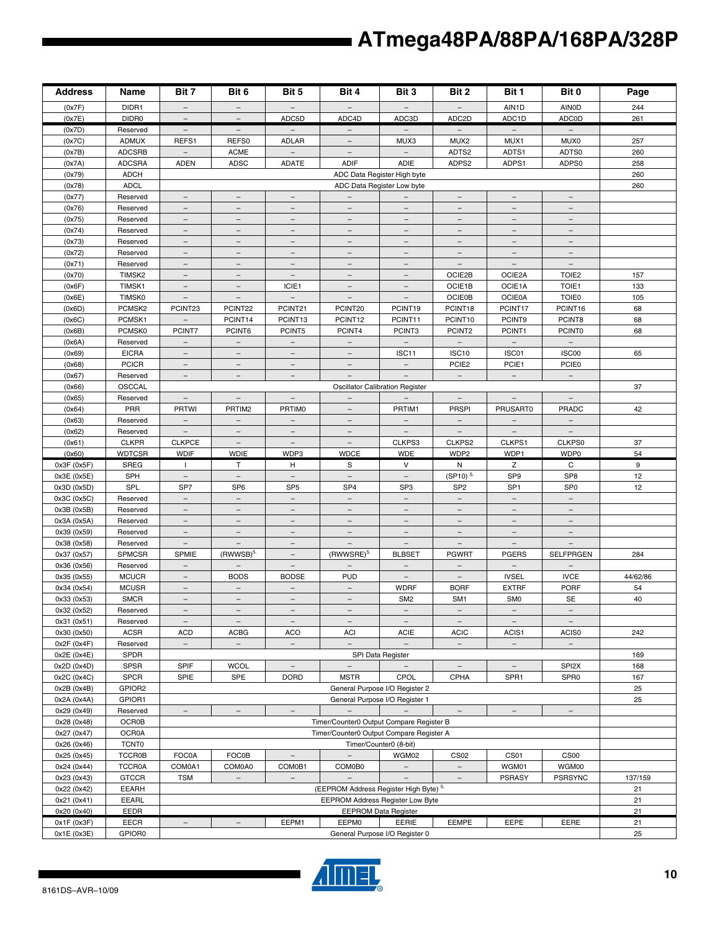| <b>Address</b>             | Name                    | Bit 7                                                                             | Bit 6                                   | Bit 5                                       | Bit 4                                    | Bit 3                                   | Bit 2                                       | Bit 1                                | Bit 0                             | Page     |
|----------------------------|-------------------------|-----------------------------------------------------------------------------------|-----------------------------------------|---------------------------------------------|------------------------------------------|-----------------------------------------|---------------------------------------------|--------------------------------------|-----------------------------------|----------|
| (0x7F)                     | DIDR1                   | $\overline{\phantom{a}}$                                                          | $\overline{\phantom{a}}$                | $\qquad \qquad -$                           |                                          |                                         |                                             | AIN1D                                | <b>AINOD</b>                      | 244      |
| (0x7E)                     | DIDR0                   |                                                                                   |                                         | ADC5D                                       | ADC4D                                    | ADC3D                                   | ADC <sub>2D</sub>                           | ADC1D                                | <b>ADCOD</b>                      | 261      |
| (0x7D)                     | Reserved                | $\overline{\phantom{a}}$                                                          | $\overline{\phantom{a}}$                | $\overline{\phantom{a}}$                    | $\overline{\phantom{0}}$                 | $\overline{\phantom{0}}$                | $-$                                         | $\overline{\phantom{m}}$             | $\overline{\phantom{a}}$          |          |
| (0x7C)                     | <b>ADMUX</b>            | REFS1                                                                             | REFS0                                   | <b>ADLAR</b>                                | $\overline{\phantom{m}}$                 | MUX3                                    | MUX <sub>2</sub>                            | MUX1                                 | MUX0                              | 257      |
| (0x7B)                     | <b>ADCSRB</b>           | $\overline{\phantom{a}}$                                                          | <b>ACME</b>                             |                                             |                                          |                                         | ADTS2                                       | ADTS1                                | ADTS0                             | 260      |
| (0x7A)                     | <b>ADCSRA</b>           | <b>ADEN</b>                                                                       | <b>ADSC</b>                             | <b>ADATE</b>                                | <b>ADIF</b>                              | ADIE                                    | ADPS2                                       | ADPS1                                | ADPS0                             | 258      |
| (0x79)                     | <b>ADCH</b>             |                                                                                   |                                         |                                             |                                          | ADC Data Register High byte             |                                             |                                      |                                   | 260      |
| (0x78)                     | <b>ADCL</b>             |                                                                                   |                                         |                                             |                                          | ADC Data Register Low byte              |                                             |                                      |                                   | 260      |
| (0x77)                     | Reserved                | $\overline{\phantom{0}}$                                                          |                                         |                                             | $\overline{\phantom{m}}$                 | $\overline{\phantom{m}}$                | $\overline{\phantom{0}}$                    |                                      |                                   |          |
| (0x76)                     | Reserved                | $\overline{\phantom{a}}$                                                          | $\equiv$                                | $\equiv$                                    |                                          | $\equiv$                                | $\equiv$                                    |                                      |                                   |          |
| (0x75)                     | Reserved                | $\overline{\phantom{a}}$                                                          | $\overline{\phantom{a}}$                | $\overline{\phantom{a}}$                    | $\overline{\phantom{a}}$                 | $\overline{\phantom{a}}$                | $\overline{\phantom{m}}$                    | $\overline{\phantom{a}}$             | $\qquad \qquad -$                 |          |
| (0x74)                     | Reserved                | $\qquad \qquad -$                                                                 | $\overline{\phantom{m}}$                | $\qquad \qquad -$                           |                                          | $\overline{\phantom{m}}$                | $\overline{\phantom{0}}$                    | $\overline{\phantom{m}}$             |                                   |          |
| (0x73)                     | Reserved                | $\overline{\phantom{a}}$                                                          | $\overline{\phantom{m}}$                | $\overline{\phantom{m}}$                    | $\overline{\phantom{m}}$                 | $\overline{\phantom{a}}$                | $\overline{\phantom{m}}$                    | $\overline{\phantom{m}}$             | $\overline{\phantom{m}}$          |          |
| (0x72)                     | Reserved                | $\equiv$                                                                          | $\equiv$                                | $\overline{\phantom{0}}$                    |                                          | $\equiv$                                | $\equiv$                                    | $\overline{\phantom{0}}$             |                                   |          |
| (0x71)                     | Reserved                | $\equiv$                                                                          | $\overline{\phantom{a}}$                | $\overline{\phantom{0}}$                    | $-$                                      | $\equiv$                                | $\equiv$                                    | $\equiv$                             | $\equiv$                          |          |
| (0x70)                     | TIMSK2                  | $\overline{\phantom{a}}$                                                          | $\overline{\phantom{m}}$                | $\overline{\phantom{a}}$                    | $\qquad \qquad -$                        | $\overline{\phantom{a}}$                | OCIE2B                                      | OCIE2A                               | TOIE <sub>2</sub>                 | 157      |
| (0x6F)                     | TIMSK1                  | $\overline{\phantom{a}}$                                                          | $\overline{\phantom{a}}$                | ICIE1                                       |                                          | $\overline{\phantom{a}}$                | OCIE1B                                      | OCIE1A                               | TOIE1                             | 133      |
| (0x6E)                     | <b>TIMSK0</b>           | $\overline{\phantom{a}}$                                                          | $\overline{\phantom{a}}$                | $\overline{\phantom{a}}$                    | $\overline{\phantom{a}}$                 | $\overline{\phantom{a}}$                | <b>OCIE0B</b>                               | <b>OCIE0A</b>                        | <b>TOIE0</b>                      | 105      |
| (0x6D)                     | PCMSK <sub>2</sub>      | PCINT23                                                                           | PCINT22                                 | PCINT21                                     | PCINT20                                  | PCINT19                                 | PCINT18                                     | PCINT17                              | PCINT16                           | 68       |
| (0x6C)                     | PCMSK1                  | $\overline{\phantom{a}}$                                                          | PCINT14                                 | PCINT13                                     | PCINT <sub>12</sub>                      | PCINT11                                 | PCINT10                                     | PCINT9                               | PCINT8                            | 68       |
| (0x6B)                     | PCMSK0                  | PCINT7                                                                            | PCINT6                                  | PCINT5                                      | PCINT4                                   | PCINT3                                  | PCINT2                                      | PCINT1                               | <b>PCINT0</b>                     | 68       |
| (0x6A)                     | Reserved                | $\overline{\phantom{a}}$                                                          | $\equiv$                                | $\overline{\phantom{a}}$                    | $\equiv$                                 | $\equiv$                                | $\equiv$                                    | $\equiv$                             | $\equiv$                          |          |
| (0x69)                     | <b>EICRA</b>            | $\overline{\phantom{a}}$                                                          | $\overline{\phantom{a}}$                | $\overline{\phantom{a}}$                    | $\overline{\phantom{a}}$                 | ISC11                                   | ISC <sub>10</sub>                           | ISC01                                | ISC00                             | 65       |
| (0x68)                     | <b>PCICR</b>            | $\qquad \qquad -$                                                                 | $\overline{\phantom{m}}$                | $\overline{\phantom{m}}$                    |                                          | $\overline{\phantom{a}}$                | PCIE <sub>2</sub>                           | PCIE1                                | <b>PCIE0</b>                      |          |
| (0x67)                     | Reserved                | $\overline{\phantom{a}}$                                                          | $\overline{\phantom{a}}$                | $\overline{\phantom{a}}$                    |                                          | $\overline{\phantom{a}}$                | $\overline{\phantom{a}}$                    | $\overline{\phantom{a}}$             | $\equiv$                          |          |
| (0x66)                     | OSCCAL                  |                                                                                   |                                         |                                             |                                          | <b>Oscillator Calibration Register</b>  |                                             |                                      |                                   | 37       |
| (0x65)                     | Reserved                | $\equiv$                                                                          | $\equiv$                                | $\equiv$                                    | $\equiv$                                 | $\equiv$                                | $\equiv$                                    | $\equiv$                             | $\equiv$                          |          |
| (0x64)                     | PRR                     | <b>PRTWI</b>                                                                      | PRTIM2                                  | <b>PRTIMO</b>                               |                                          | PRTIM1                                  | <b>PRSPI</b>                                | <b>PRUSART0</b>                      | PRADC                             | 42       |
| (0x63)                     | Reserved                | $\overline{\phantom{a}}$                                                          |                                         |                                             |                                          |                                         | $\overline{\phantom{a}}$                    | $\overline{\phantom{a}}$             |                                   |          |
| (0x62)                     | Reserved                | $\overline{\phantom{a}}$                                                          | $\overline{\phantom{a}}$                | $\overline{\phantom{a}}$                    | $\overline{\phantom{a}}$                 | $\overline{\phantom{a}}$                | $\overline{\phantom{a}}$                    | $\overline{\phantom{a}}$             | $\overline{\phantom{a}}$          |          |
| (0x61)                     | <b>CLKPR</b>            | <b>CLKPCE</b>                                                                     | $\overline{\phantom{m}}$                |                                             |                                          | CLKPS3                                  | CLKPS2                                      | CLKPS1                               | CLKPS0                            | 37       |
| (0x60)                     | <b>WDTCSR</b>           | <b>WDIF</b>                                                                       | <b>WDIE</b>                             | WDP3                                        | <b>WDCE</b>                              | <b>WDE</b>                              | WDP2                                        | WDP1                                 | WDP0                              | 54       |
| 0x3F (0x5F)                | SREG                    | $\mathbf{I}$                                                                      | Т                                       | н                                           | S                                        | V                                       | Ν                                           | z                                    | C                                 | 9        |
| 0x3E (0x5E)                | SPH                     | $\equiv$                                                                          | $\equiv$                                | $\equiv$                                    | $\equiv$                                 | $\equiv$                                | (SP10) <sup>5.</sup>                        | SP <sub>9</sub>                      | SP <sub>8</sub>                   | 12       |
| 0x3D (0x5D)                | SPL                     | SP7                                                                               | SP <sub>6</sub>                         | SP <sub>5</sub>                             | SP <sub>4</sub>                          | SP <sub>3</sub>                         | SP <sub>2</sub>                             | SP <sub>1</sub>                      | SP <sub>0</sub>                   | 12       |
| 0x3C (0x5C)                | Reserved                | $\overline{\phantom{a}}$                                                          | $\overline{\phantom{a}}$                | $\overline{\phantom{a}}$                    | $\equiv$                                 | $\overline{\phantom{a}}$                | $\overline{\phantom{a}}$                    | $\overline{\phantom{a}}$             | $\overline{\phantom{a}}$          |          |
| 0x3B (0x5B)                | Reserved                | $\overline{\phantom{0}}$                                                          | $\overline{\phantom{m}}$                | $\overline{\phantom{m}}$                    | $\overline{\phantom{m}}$                 | $\overline{\phantom{m}}$                | $\overline{\phantom{m}}$                    | $\overline{\phantom{m}}$             | $\overline{\phantom{m}}$          |          |
| 0x3A (0x5A)                | Reserved                | $\overline{\phantom{0}}$<br>$\equiv$                                              | $\equiv$<br>$\equiv$                    | $\overbrace{\phantom{1232211}}$<br>$\equiv$ |                                          | $\equiv$<br>$\equiv$                    | $\overbrace{\phantom{1232211}}$<br>$\equiv$ | $\overline{\phantom{m}}$<br>$\equiv$ |                                   |          |
| 0x39 (0x59)                | Reserved                |                                                                                   |                                         |                                             | $-$                                      |                                         |                                             |                                      | $\equiv$                          |          |
| 0x38 (0x58)                | Reserved                | $\overline{\phantom{a}}$                                                          |                                         | $\qquad \qquad -$                           |                                          | $\equiv$                                |                                             | $\overline{\phantom{a}}$             |                                   |          |
| 0x37 (0x57)                | SPMCSR                  | SPMIE                                                                             | $(RWWSB)^{5}$                           | $\qquad \qquad -$                           | (RWWSRE) <sup>5.</sup>                   | <b>BLBSET</b>                           | <b>PGWRT</b>                                | <b>PGERS</b>                         | <b>SELFPRGEN</b>                  | 284      |
| 0x36 (0x56)                | Reserved                | $\qquad \qquad -$                                                                 | $\overline{\phantom{a}}$                | $\overline{\phantom{a}}$                    | $\overline{\phantom{m}}$                 | $\overline{\phantom{a}}$                | $\overline{\phantom{a}}$                    | $\overline{\phantom{a}}$             |                                   |          |
| 0x35 (0x55)                | <b>MCUCR</b>            |                                                                                   | <b>BODS</b><br>$\equiv$                 | <b>BODSE</b><br>$\equiv$                    | <b>PUD</b>                               | $\overline{\phantom{m}}$                |                                             | <b>IVSEL</b>                         | <b>IVCE</b>                       | 44/62/86 |
| 0x34 (0x54)                | <b>MCUSR</b>            | $-$<br>$\qquad \qquad -$                                                          | $\overline{\phantom{m}}$                |                                             | $\equiv$<br>$\overline{\phantom{m}}$     | <b>WDRF</b>                             | <b>BORF</b>                                 | <b>EXTRF</b>                         | PORF                              | 54<br>40 |
| 0x33 (0x53)                | <b>SMCR</b><br>Reserved |                                                                                   |                                         | $\overline{\phantom{a}}$                    |                                          | SM <sub>2</sub>                         | SM <sub>1</sub>                             | SM <sub>0</sub>                      | <b>SE</b>                         |          |
| 0x32 (0x52)                |                         |                                                                                   |                                         |                                             |                                          |                                         |                                             |                                      |                                   |          |
| 0x31 (0x51)<br>0x30 (0x50) | Reserved<br><b>ACSR</b> | $\overline{\phantom{a}}$<br>ACD                                                   | $\overline{\phantom{a}}$<br><b>ACBG</b> | $\overline{\phantom{a}}$<br><b>ACO</b>      | $\overline{\phantom{a}}$<br>ACI          | $\overline{\phantom{a}}$<br><b>ACIE</b> | $\overline{\phantom{a}}$<br><b>ACIC</b>     | $\overline{\phantom{0}}$<br>ACIS1    | $\overline{\phantom{a}}$<br>ACIS0 | 242      |
| 0x2F (0x4F)                | Reserved                | $\overline{\phantom{0}}$                                                          | $\overline{\phantom{a}}$                | $\overline{\phantom{a}}$                    | $-$                                      | $\overline{\phantom{a}}$                | $\overline{\phantom{a}}$                    | $\overline{\phantom{a}}$             | $\overline{\phantom{0}}$          |          |
| 0x2E (0x4E)                | SPDR                    |                                                                                   |                                         |                                             |                                          | SPI Data Register                       |                                             |                                      |                                   | 169      |
| 0x2D (0x4D)                | <b>SPSR</b>             | <b>SPIF</b>                                                                       | <b>WCOL</b>                             | $\overline{\phantom{a}}$                    | $\equiv$                                 | $\equiv$                                | $\equiv$                                    | $\overline{\phantom{a}}$             | SPI <sub>2</sub> X                | 168      |
| 0x2C (0x4C)                | <b>SPCR</b>             | SPIE                                                                              | <b>SPE</b>                              | <b>DORD</b>                                 | <b>MSTR</b>                              | CPOL                                    | CPHA                                        | SPR1                                 | SPR <sub>0</sub>                  | 167      |
| 0x2B (0x4B)                | GPIOR2                  |                                                                                   |                                         |                                             |                                          | General Purpose I/O Register 2          |                                             |                                      |                                   | 25       |
| 0x2A (0x4A)                | GPIOR1                  |                                                                                   |                                         |                                             |                                          | General Purpose I/O Register 1          |                                             |                                      |                                   | 25       |
| 0x29 (0x49)                | Reserved                | -                                                                                 |                                         |                                             | $\sim$                                   |                                         |                                             |                                      |                                   |          |
| 0x28 (0x48)                | <b>OCR0B</b>            |                                                                                   |                                         |                                             | Timer/Counter0 Output Compare Register B |                                         |                                             |                                      |                                   |          |
| 0x27 (0x47)                | OCR0A                   |                                                                                   |                                         |                                             | Timer/Counter0 Output Compare Register A |                                         |                                             |                                      |                                   |          |
| 0x26 (0x46)                | <b>TCNT0</b>            |                                                                                   |                                         |                                             |                                          | Timer/Counter0 (8-bit)                  |                                             |                                      |                                   |          |
| 0x25 (0x45)                | <b>TCCR0B</b>           | <b>FOC0A</b>                                                                      | <b>FOC0B</b>                            | $\overline{\phantom{a}}$                    | $\overline{\phantom{0}}$                 | WGM02                                   | CS <sub>02</sub>                            | CS <sub>01</sub>                     | CS <sub>00</sub>                  |          |
| 0x24 (0x44)                | <b>TCCR0A</b>           | COM0A1                                                                            | COM0A0                                  | COM0B1                                      | COM0B0                                   | $\overline{\phantom{m}}$                | $\overline{\phantom{a}}$                    | WGM01                                | WGM00                             |          |
| 0x23 (0x43)                | <b>GTCCR</b>            | <b>TSM</b>                                                                        | $\overline{\phantom{a}}$                | $\overline{\phantom{a}}$                    |                                          | $\overline{\phantom{a}}$                | $\overline{\phantom{a}}$                    | <b>PSRASY</b>                        | <b>PSRSYNC</b>                    | 137/159  |
| 0x22 (0x42)                | EEARH                   |                                                                                   |                                         |                                             |                                          |                                         |                                             |                                      |                                   | 21       |
| 0x21 (0x41)                | EEARL                   | (EEPROM Address Register High Byte) 5.<br><b>EEPROM Address Register Low Byte</b> |                                         |                                             |                                          | 21                                      |                                             |                                      |                                   |          |
| 0x20 (0x40)                | EEDR                    |                                                                                   |                                         |                                             |                                          | <b>EEPROM Data Register</b>             |                                             |                                      |                                   | 21       |
| 0x1F (0x3F)                | <b>EECR</b>             |                                                                                   |                                         | EEPM1                                       | EEPM0                                    | EERIE                                   | EEMPE                                       | EEPE                                 | EERE                              | 21       |
| 0x1E (0x3E)                | GPIOR0                  |                                                                                   |                                         |                                             |                                          | General Purpose I/O Register 0          |                                             |                                      |                                   | 25       |
|                            |                         |                                                                                   |                                         |                                             |                                          |                                         |                                             |                                      |                                   |          |

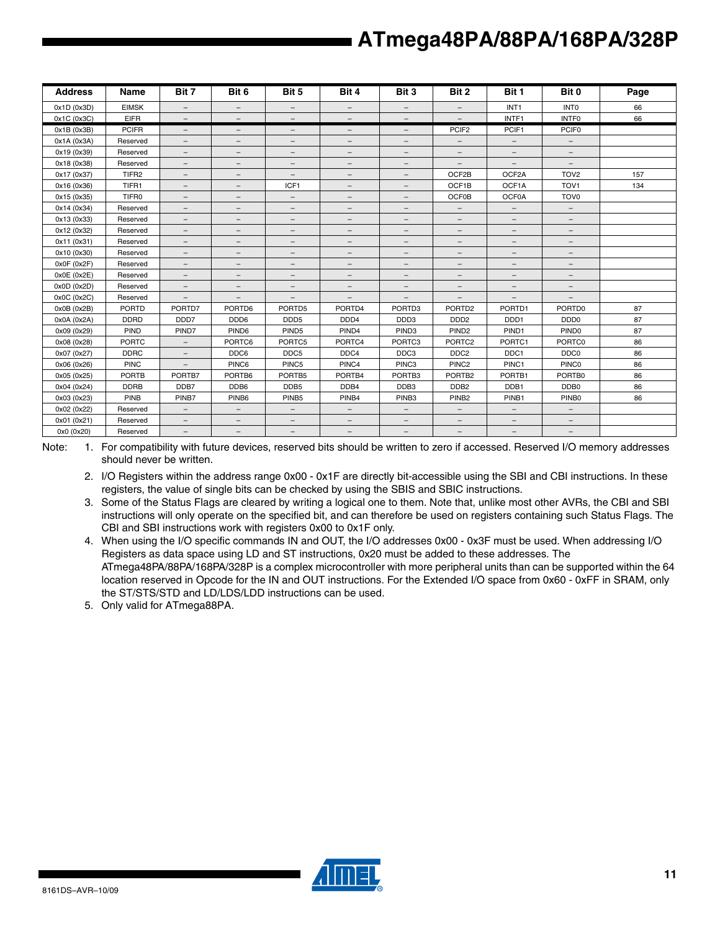| <b>Address</b> | Name              | Bit 7                    | Bit 6                    | Bit 5                    | Bit 4                    | Bit 3                    | Bit 2                    | Bit 1                    | Bit 0                    | Page |
|----------------|-------------------|--------------------------|--------------------------|--------------------------|--------------------------|--------------------------|--------------------------|--------------------------|--------------------------|------|
| 0x1D(0x3D)     | <b>EIMSK</b>      | $\overline{\phantom{a}}$ | $-$                      | $-$                      | $\overline{\phantom{0}}$ | $\overline{\phantom{a}}$ | $\overline{\phantom{a}}$ | INT <sub>1</sub>         | <b>INTO</b>              | 66   |
| 0x1C (0x3C)    | <b>EIFR</b>       | $\overline{\phantom{0}}$ |                          | $\overline{\phantom{a}}$ | $-$                      | $\overline{\phantom{a}}$ |                          | INTF1                    | <b>INTFO</b>             | 66   |
| 0x1B (0x3B)    | <b>PCIFR</b>      | $\overline{\phantom{0}}$ | $\overline{\phantom{0}}$ | $\overline{\phantom{m}}$ | $\overline{\phantom{0}}$ | -                        | PCIF <sub>2</sub>        | PCIF1                    | PCIF <sub>0</sub>        |      |
| 0x1A (0x3A)    | Reserved          | $\overline{\phantom{a}}$ | $-$                      | $\overline{\phantom{0}}$ | $\qquad \qquad -$        | $\qquad \qquad -$        | $\overline{\phantom{a}}$ | $-$                      | $\overline{\phantom{a}}$ |      |
| 0x19 (0x39)    | Reserved          | $\qquad \qquad -$        | $\qquad \qquad -$        | -                        | -                        | $\qquad \qquad -$        | -                        | $\qquad \qquad -$        | -                        |      |
| 0x18 (0x38)    | Reserved          | $\overline{\phantom{0}}$ | $\overline{\phantom{0}}$ | $\overline{\phantom{m}}$ | $\qquad \qquad -$        | -                        |                          |                          | $\overline{\phantom{0}}$ |      |
| 0x17 (0x37)    | TIFR <sub>2</sub> | $\overline{\phantom{a}}$ | $\overline{\phantom{m}}$ | $\qquad \qquad -$        | $\overline{\phantom{0}}$ | $\overline{\phantom{m}}$ | OCF2B                    | OCF2A                    | TOV <sub>2</sub>         | 157  |
| 0x16 (0x36)    | TIFR1             | $\qquad \qquad -$        | $\qquad \qquad -$        | ICF1                     | $\qquad \qquad -$        | $\overline{\phantom{0}}$ | OCF1B                    | OCF1A                    | TOV <sub>1</sub>         | 134  |
| 0x15 (0x35)    | TIFR0             | -                        | $\qquad \qquad -$        | $\overline{\phantom{a}}$ | $\qquad \qquad -$        | $\overline{\phantom{m}}$ | <b>OCF0B</b>             | OCF0A                    | TOV <sub>0</sub>         |      |
| 0x14 (0x34)    | Reserved          | $\overline{\phantom{m}}$ | $\overline{\phantom{m}}$ | $\qquad \qquad -$        | $\qquad \qquad -$        | $\qquad \qquad -$        | $\overline{\phantom{a}}$ | $\overline{\phantom{m}}$ | $\overline{\phantom{m}}$ |      |
| 0x13 (0x33)    | Reserved          | $\overline{\phantom{0}}$ | $\qquad \qquad -$        | $\overline{\phantom{0}}$ | $-$                      | $\overline{\phantom{0}}$ | $\overline{\phantom{0}}$ | $\qquad \qquad -$        | $\qquad \qquad -$        |      |
| 0x12 (0x32)    | Reserved          | -                        | -                        | $\overline{\phantom{m}}$ | $\qquad \qquad -$        | $\qquad \qquad -$        | $\overline{\phantom{0}}$ | $-$                      | -                        |      |
| 0x11 (0x31)    | Reserved          | $\overline{\phantom{m}}$ | $\qquad \qquad -$        | $\qquad \qquad -$        | $\qquad \qquad -$        | $\overline{\phantom{m}}$ | $\qquad \qquad -$        | $\qquad \qquad -$        | -                        |      |
| 0x10 (0x30)    | Reserved          | $\overline{\phantom{0}}$ | $\qquad \qquad -$        | $\qquad \qquad -$        | $-$                      | $\overline{\phantom{0}}$ | $\overline{\phantom{0}}$ | $\qquad \qquad -$        | $\qquad \qquad -$        |      |
| 0x0F(0x2F)     | Reserved          | $\overline{\phantom{m}}$ | $\qquad \qquad -$        | $\qquad \qquad -$        | $\qquad \qquad -$        | $\qquad \qquad -$        | $\overline{\phantom{m}}$ | $-$                      | -                        |      |
| 0x0E (0x2E)    | Reserved          | $-$                      | $-$                      | $\qquad \qquad -$        | $\qquad \qquad -$        | $\qquad \qquad -$        | $\qquad \qquad -$        | $\qquad \qquad -$        | -                        |      |
| 0x0D(0x2D)     | Reserved          | $\overline{\phantom{0}}$ | $\qquad \qquad -$        | $\qquad \qquad -$        | $\overline{\phantom{0}}$ | $\overline{\phantom{0}}$ | $\overline{\phantom{m}}$ | $\qquad \qquad -$        | $\overline{\phantom{0}}$ |      |
| 0x0C (0x2C)    | Reserved          | $\overline{\phantom{0}}$ | -                        | $\overline{\phantom{m}}$ | $\overline{\phantom{0}}$ | -                        | $\overline{\phantom{0}}$ |                          | $\overline{\phantom{0}}$ |      |
| 0x0B(0x2B)     | <b>PORTD</b>      | PORTD7                   | PORTD6                   | PORTD5                   | PORTD4                   | PORTD3                   | PORTD <sub>2</sub>       | PORTD1                   | PORTD0                   | 87   |
| 0x0A (0x2A)    | <b>DDRD</b>       | DDD7                     | DDD <sub>6</sub>         | DDD <sub>5</sub>         | DDD <sub>4</sub>         | DDD3                     | DD <sub>D</sub> 2        | DDD <sub>1</sub>         | DDD <sub>0</sub>         | 87   |
| 0x09 (0x29)    | PIND              | PIND7                    | PIND <sub>6</sub>        | PIND <sub>5</sub>        | PIND4                    | PIND <sub>3</sub>        | PIND <sub>2</sub>        | PIND1                    | PIND <sub>0</sub>        | 87   |
| 0x08 (0x28)    | <b>PORTC</b>      | $-$                      | PORTC6                   | PORTC5                   | PORTC4                   | PORTC3                   | PORTC <sub>2</sub>       | PORTC1                   | PORTC0                   | 86   |
| 0x07 (0x27)    | <b>DDRC</b>       | $\overline{\phantom{a}}$ | DDC6                     | DDC5                     | DDC4                     | DDC3                     | DDC <sub>2</sub>         | DDC1                     | DDC <sub>0</sub>         | 86   |
| 0x06 (0x26)    | <b>PINC</b>       |                          | PINC6                    | PINC5                    | PINC4                    | PINC3                    | PINC <sub>2</sub>        | PINC1                    | <b>PINC0</b>             | 86   |
| 0x05 (0x25)    | <b>PORTB</b>      | PORTB7                   | PORTB6                   | PORTB5                   | PORTB4                   | PORTB3                   | PORTB <sub>2</sub>       | PORTB1                   | PORTB0                   | 86   |
| 0x04 (0x24)    | <b>DDRB</b>       | DDB7                     | DDB6                     | DDB <sub>5</sub>         | DDB4                     | DDB <sub>3</sub>         | DDB <sub>2</sub>         | DDB1                     | DDB <sub>0</sub>         | 86   |
| 0x03 (0x23)    | PINB              | PINB7                    | PINB <sub>6</sub>        | PINB <sub>5</sub>        | PINB4                    | PINB <sub>3</sub>        | PINB <sub>2</sub>        | PINB1                    | PINB <sub>0</sub>        | 86   |
| 0x02 (0x22)    | Reserved          | $-$                      | $\overline{\phantom{a}}$ | $-$                      | $\overline{\phantom{0}}$ | $\overline{\phantom{a}}$ | $\overline{\phantom{a}}$ | $\qquad \qquad -$        | $-$                      |      |
| 0x01 (0x21)    | Reserved          | $\qquad \qquad -$        | $-$                      | -                        | $-$                      | $\qquad \qquad -$        | $\qquad \qquad -$        | $\qquad \qquad -$        | -                        |      |
| 0x0 (0x20)     | Reserved          | -                        | $\qquad \qquad -$        | $\qquad \qquad -$        | $\qquad \qquad -$        | $\overline{\phantom{a}}$ | $\overline{\phantom{m}}$ | $\overline{\phantom{m}}$ | $\qquad \qquad -$        |      |

Note: 1. For compatibility with future devices, reserved bits should be written to zero if accessed. Reserved I/O memory addresses should never be written.

- 2. I/O Registers within the address range 0x00 0x1F are directly bit-accessible using the SBI and CBI instructions. In these registers, the value of single bits can be checked by using the SBIS and SBIC instructions.
- 3. Some of the Status Flags are cleared by writing a logical one to them. Note that, unlike most other AVRs, the CBI and SBI instructions will only operate on the specified bit, and can therefore be used on registers containing such Status Flags. The CBI and SBI instructions work with registers 0x00 to 0x1F only.
- 4. When using the I/O specific commands IN and OUT, the I/O addresses 0x00 0x3F must be used. When addressing I/O Registers as data space using LD and ST instructions, 0x20 must be added to these addresses. The ATmega48PA/88PA/168PA/328P is a complex microcontroller with more peripheral units than can be supported within the 64 location reserved in Opcode for the IN and OUT instructions. For the Extended I/O space from 0x60 - 0xFF in SRAM, only the ST/STS/STD and LD/LDS/LDD instructions can be used.

5. Only valid for ATmega88PA.

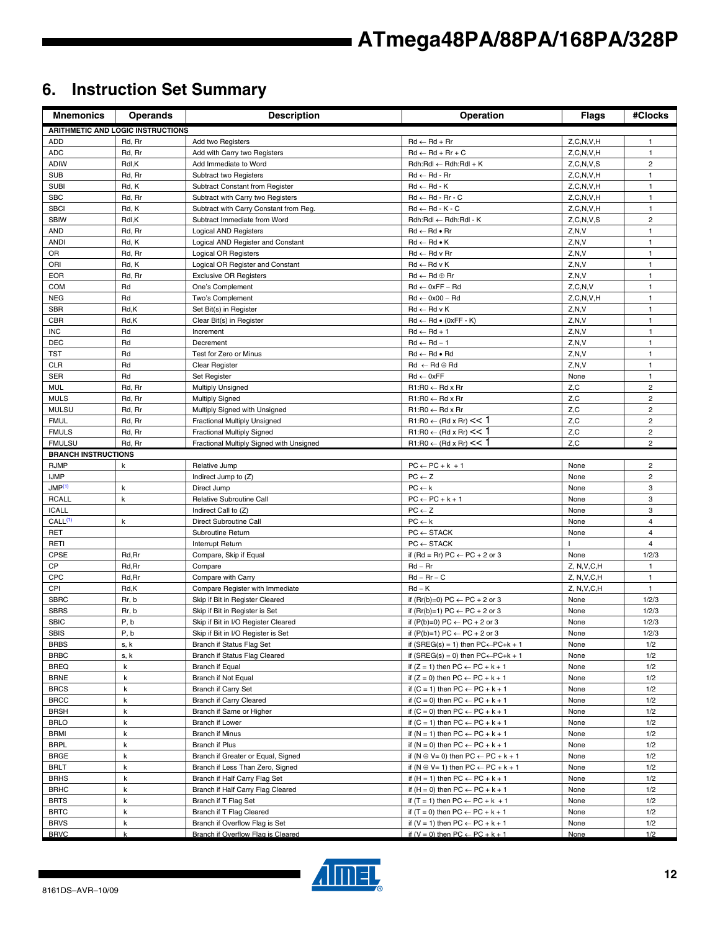# **6. Instruction Set Summary**

| <b>Mnemonics</b>           | <b>Operands</b>                          | <b>Description</b>                                                     | Operation                                                                                             | <b>Flags</b>    | #Clocks                      |
|----------------------------|------------------------------------------|------------------------------------------------------------------------|-------------------------------------------------------------------------------------------------------|-----------------|------------------------------|
|                            | <b>ARITHMETIC AND LOGIC INSTRUCTIONS</b> |                                                                        |                                                                                                       |                 |                              |
| ADD                        | Rd, Rr                                   | Add two Registers                                                      | $Rd \leftarrow Rd + Rr$                                                                               | Z, C, N, V, H   | 1                            |
| <b>ADC</b>                 | Rd, Rr                                   | Add with Carry two Registers                                           | $Rd \leftarrow Rd + Rr + C$                                                                           | Z, C, N, V, H   | $\mathbf{1}$                 |
| <b>ADIW</b>                | Rdl,K                                    | Add Immediate to Word                                                  | $Rdh:Rdl \leftarrow Rdh:Rdl + K$                                                                      | Z, C, N, V, S   | $\overline{2}$               |
| <b>SUB</b>                 | Rd, Rr                                   | Subtract two Registers                                                 | $Rd \leftarrow Rd - Rr$                                                                               | Z, C, N, V, H   | $\mathbf{1}$                 |
| <b>SUBI</b>                | Rd, K                                    | Subtract Constant from Register                                        | $Rd \leftarrow Rd - K$                                                                                | Z.C.N.V.H       | $\mathbf{1}$                 |
| <b>SBC</b>                 | Rd, Rr                                   | Subtract with Carry two Registers                                      | $Rd \leftarrow Rd - Rr - C$                                                                           | Z, C, N, V, H   | $\mathbf{1}$                 |
| <b>SBCI</b>                | Rd, K                                    | Subtract with Carry Constant from Reg.                                 | $Rd \leftarrow Rd - K - C$                                                                            | Z, C, N, V, H   | $\mathbf{1}$                 |
| <b>SBIW</b>                | Rdl,K                                    | Subtract Immediate from Word                                           | Rdh:Rdl ← Rdh:Rdl - K                                                                                 | Z, C, N, V, S   | $\overline{2}$               |
| <b>AND</b>                 | Rd, Rr                                   | <b>Logical AND Registers</b>                                           | $Rd \leftarrow Rd \bullet Rr$                                                                         | Z, N, V         | $\mathbf{1}$                 |
| <b>ANDI</b>                | Rd, K                                    | Logical AND Register and Constant                                      | $Rd \leftarrow Rd \bullet K$                                                                          | Z, N, V         | $\mathbf{1}$                 |
| <b>OR</b>                  | Rd, Rr                                   | <b>Logical OR Registers</b>                                            | $Rd \leftarrow Rd$ v Rr                                                                               | Z, N, V         | $\mathbf{1}$                 |
| ORI                        | Rd, K                                    | Logical OR Register and Constant                                       | $Rd \leftarrow Rd \vee K$                                                                             | Z, N, V         | $\mathbf{1}$                 |
| <b>EOR</b>                 | Rd, Rr                                   | <b>Exclusive OR Registers</b>                                          | $Rd \leftarrow Rd \oplus Rr$                                                                          | Z, N, V         | $\mathbf{1}$                 |
| <b>COM</b>                 | Rd                                       | One's Complement                                                       | $Rd \leftarrow 0xFF - Rd$                                                                             | Z, C, N, V      | $\mathbf{1}$                 |
| <b>NEG</b>                 | Rd                                       | Two's Complement                                                       | $Rd \leftarrow 0x00 - Rd$                                                                             | Z, C, N, V, H   | $\mathbf{1}$                 |
| <b>SBR</b>                 | Rd,K                                     | Set Bit(s) in Register                                                 | $Rd \leftarrow Rd v K$                                                                                | Z, N, V         | $\mathbf{1}$                 |
| <b>CBR</b>                 | Rd,K                                     | Clear Bit(s) in Register                                               | $Rd \leftarrow Rd \bullet (0xFF - K)$                                                                 | Z, N, V         | $\mathbf{1}$                 |
| <b>INC</b>                 | Rd                                       | Increment                                                              | $Rd \leftarrow Rd + 1$                                                                                | Z, N, V         | $\mathbf{1}$                 |
| <b>DEC</b>                 | Rd                                       | Decrement                                                              | $Rd \leftarrow Rd - 1$                                                                                | Z, N, V         | $\mathbf{1}$                 |
| TST<br><b>CLR</b>          | Rd<br>Rd                                 | Test for Zero or Minus                                                 | $Rd \leftarrow Rd \bullet Rd$                                                                         | Z, N, V         | $\mathbf{1}$<br>$\mathbf{1}$ |
| <b>SER</b>                 | Rd                                       | Clear Register                                                         | $Rd \leftarrow Rd \oplus Rd$<br>$Rd \leftarrow 0xFF$                                                  | Z, N, V<br>None | $\mathbf{1}$                 |
| <b>MUL</b>                 | Rd, Rr                                   | Set Register                                                           | $R1:R0 \leftarrow Rd \times Rr$                                                                       | Z,C             | $\overline{c}$               |
| <b>MULS</b>                | Rd, Rr                                   | <b>Multiply Unsigned</b><br><b>Multiply Signed</b>                     | $R1:R0 \leftarrow Rd \times Rr$                                                                       | Z,C             | 2                            |
| <b>MULSU</b>               | Rd, Rr                                   | Multiply Signed with Unsigned                                          | $R1:R0 \leftarrow Rd \times Rr$                                                                       | Z, C            | $\overline{c}$               |
| <b>FMUL</b>                | Rd, Rr                                   | Fractional Multiply Unsigned                                           | $R1:R0 \leftarrow (Rd \times Rr) \leq 1$                                                              | Z, C            | $\overline{c}$               |
| <b>FMULS</b>               | Rd, Rr                                   | <b>Fractional Multiply Signed</b>                                      | $R1:R0 \leftarrow (Rd \times Rr) \leq 1$                                                              | Z, C            | $\overline{2}$               |
| <b>FMULSU</b>              | Rd, Rr                                   | Fractional Multiply Signed with Unsigned                               | $R1:R0 \leftarrow (Rd \times Rr) \leq 1$                                                              | Z, C            | $\overline{2}$               |
| <b>BRANCH INSTRUCTIONS</b> |                                          |                                                                        |                                                                                                       |                 |                              |
| <b>RJMP</b>                | k                                        | Relative Jump                                                          | $PC \leftarrow PC + k + 1$                                                                            | None            | $\overline{2}$               |
| <b>IJMP</b>                |                                          | Indirect Jump to (Z)                                                   | $PC \leftarrow Z$                                                                                     | None            | $\overline{2}$               |
| JMP <sup>(1)</sup>         | k                                        | Direct Jump                                                            | $PC \leftarrow k$                                                                                     | None            | 3                            |
| <b>RCALL</b>               | $\mathsf k$                              | Relative Subroutine Call                                               | $PC \leftarrow PC + k + 1$                                                                            | None            | 3                            |
| <b>ICALL</b>               |                                          | Indirect Call to (Z)                                                   | $PC \leftarrow Z$                                                                                     | None            | 3                            |
| CALL <sup>(1)</sup>        | $\sf k$                                  | Direct Subroutine Call                                                 | $PC \leftarrow k$                                                                                     | None            | 4                            |
| <b>RET</b>                 |                                          | Subroutine Return                                                      | $PC \leftarrow$ STACK                                                                                 | None            | 4                            |
| RETI                       |                                          | Interrupt Return                                                       | $PC \leftarrow$ STACK                                                                                 |                 | 4                            |
| <b>CPSE</b>                | Rd, Rr                                   | Compare, Skip if Equal                                                 | if (Rd = Rr) PC $\leftarrow$ PC + 2 or 3                                                              | None            | 1/2/3                        |
| CP                         | Rd, Rr                                   | Compare                                                                | $Rd - Rr$                                                                                             | Z, N, V, C, H   | $\mathbf{1}$                 |
| <b>CPC</b>                 | Rd, Rr                                   | Compare with Carry                                                     | $Rd - Rr - C$                                                                                         | Z, N, V, C, H   | $\mathbf{1}$                 |
| CPI                        | Rd,K                                     | Compare Register with Immediate                                        | $Rd - K$                                                                                              | Z, N, V, C, H   | $\mathbf{1}$                 |
| <b>SBRC</b>                | Rr, b                                    | Skip if Bit in Register Cleared                                        | if $(Rr(b)=0) PC \leftarrow PC + 2$ or 3                                                              | None            | 1/2/3                        |
| <b>SBRS</b>                | Rr, b                                    | Skip if Bit in Register is Set                                         | if $(Rr(b)=1) PC \leftarrow PC + 2$ or 3                                                              | None            | 1/2/3                        |
| <b>SBIC</b>                | P, b                                     | Skip if Bit in I/O Register Cleared                                    | if $(P(b)=0) PC \leftarrow PC + 2$ or 3                                                               | None            | 1/2/3                        |
| SBIS                       | P, b                                     | Skip if Bit in I/O Register is Set                                     | if $(P(b)=1) PC \leftarrow PC + 2$ or 3                                                               | None            | 1/2/3                        |
| <b>BRBS</b>                | s, k                                     | Branch if Status Flag Set                                              | if $(SREG(s) = 1)$ then $PC \leftarrow PC + k + 1$                                                    | None            | 1/2                          |
| <b>BRBC</b>                | s, k                                     | Branch if Status Flag Cleared                                          | if (SREG(s) = 0) then $PC \leftarrow PC + k + 1$                                                      | None            | 1/2                          |
| <b>BREQ</b>                | $\mathsf k$                              | <b>Branch if Equal</b>                                                 | if $(Z = 1)$ then $PC \leftarrow PC + k + 1$                                                          | None            | 1/2                          |
| <b>BRNE</b>                | k                                        | Branch if Not Equal                                                    | if $(Z = 0)$ then $PC \leftarrow PC + k + 1$                                                          | None            | 1/2                          |
| <b>BRCS</b>                | k                                        | Branch if Carry Set                                                    | if $(C = 1)$ then $PC \leftarrow PC + k + 1$                                                          | None            | 1/2                          |
| <b>BRCC</b>                | k                                        | <b>Branch if Carry Cleared</b>                                         | if $(C = 0)$ then $PC \leftarrow PC + k + 1$                                                          | None            | 1/2                          |
| <b>BRSH</b>                | k                                        | Branch if Same or Higher                                               | if $(C = 0)$ then $PC \leftarrow PC + k + 1$                                                          | None            | 1/2                          |
| <b>BRLO</b>                | $\mathsf k$                              | Branch if Lower                                                        | if $(C = 1)$ then $PC \leftarrow PC + k + 1$                                                          | None            | 1/2                          |
| <b>BRMI</b>                | k<br>k                                   | <b>Branch if Minus</b>                                                 | if $(N = 1)$ then $PC \leftarrow PC + k + 1$                                                          | None            | 1/2                          |
| <b>BRPL</b><br><b>BRGE</b> | k                                        | Branch if Plus                                                         | if $(N = 0)$ then $PC \leftarrow PC + k + 1$                                                          | None            | 1/2                          |
| <b>BRLT</b>                | k                                        | Branch if Greater or Equal, Signed<br>Branch if Less Than Zero, Signed | if $(N \oplus V = 0)$ then $PC \leftarrow PC + k + 1$                                                 | None            | 1/2<br>1/2                   |
| <b>BRHS</b>                | k                                        | Branch if Half Carry Flag Set                                          | if $(N \oplus V = 1)$ then $PC \leftarrow PC + k + 1$<br>if $(H = 1)$ then $PC \leftarrow PC + k + 1$ | None<br>None    | 1/2                          |
| <b>BRHC</b>                | k                                        | Branch if Half Carry Flag Cleared                                      | if $(H = 0)$ then $PC \leftarrow PC + k + 1$                                                          | None            | 1/2                          |
| <b>BRTS</b>                | k                                        | Branch if T Flag Set                                                   | if $(T = 1)$ then $PC \leftarrow PC + k + 1$                                                          | None            | 1/2                          |
| <b>BRTC</b>                | k                                        | Branch if T Flag Cleared                                               | if $(T = 0)$ then $PC \leftarrow PC + k + 1$                                                          | None            | 1/2                          |
| <b>BRVS</b>                | $\mathsf k$                              | Branch if Overflow Flag is Set                                         | if $(V = 1)$ then $PC \leftarrow PC + k + 1$                                                          | None            | 1/2                          |
| <b>BRVC</b>                | k                                        | Branch if Overflow Flag is Cleared                                     | if $(V = 0)$ then $PC \leftarrow PC + k + 1$                                                          | None            | 1/2                          |

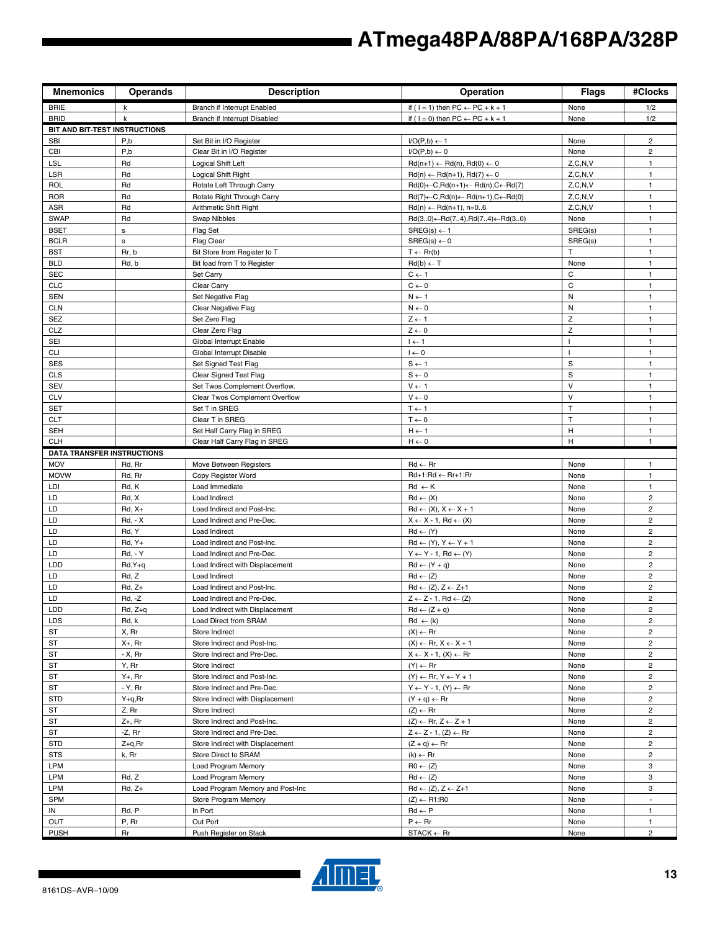| <b>Mnemonics</b>                  | <b>Operands</b>         | <b>Description</b>                           | Operation                                                                      | <b>Flags</b>    | #Clocks                      |
|-----------------------------------|-------------------------|----------------------------------------------|--------------------------------------------------------------------------------|-----------------|------------------------------|
| <b>BRIE</b>                       | k                       | Branch if Interrupt Enabled                  | if ( $1 = 1$ ) then $PC \leftarrow PC + k + 1$                                 | None            | 1/2                          |
| <b>BRID</b>                       | k                       | Branch if Interrupt Disabled                 | if ( $1 = 0$ ) then PC $\leftarrow$ PC + k + 1                                 | None            | 1/2                          |
| BIT AND BIT-TEST INSTRUCTIONS     |                         |                                              |                                                                                |                 |                              |
| <b>SBI</b>                        | P,b                     | Set Bit in I/O Register                      | $I/O(P,b) \leftarrow 1$                                                        | None            | $\overline{2}$               |
| CBI                               | P,b                     | Clear Bit in I/O Register                    | $I/O(P,b) \leftarrow 0$                                                        | None            | $\overline{2}$               |
| <b>LSL</b>                        | Rd                      | Logical Shift Left                           | $Rd(n+1) \leftarrow Rd(n), Rd(0) \leftarrow 0$                                 | Z, C, N, V      | $\mathbf{1}$                 |
| LSR                               | Rd                      | Logical Shift Right                          | $Rd(n) \leftarrow Rd(n+1), Rd(7) \leftarrow 0$                                 | Z, C, N, V      | $\mathbf{1}$                 |
| <b>ROL</b>                        | Rd                      | Rotate Left Through Carry                    | $Rd(0) \leftarrow C, Rd(n+1) \leftarrow Rd(n), C \leftarrow Rd(7)$             | Z, C, N, V      | $\mathbf{1}$                 |
| <b>ROR</b>                        | Rd                      | Rotate Right Through Carry                   | $Rd(7) \leftarrow C, Rd(n) \leftarrow Rd(n+1), C \leftarrow Rd(0)$             | Z, C, N, V      | $\mathbf{1}$                 |
| <b>ASR</b>                        | Rd                      | Arithmetic Shift Right                       | $Rd(n) \leftarrow Rd(n+1), n=06$                                               | Z, C, N, V      | $\mathbf{1}$                 |
| <b>SWAP</b><br><b>BSET</b>        | Rd<br>s                 | Swap Nibbles                                 | $Rd(30) \leftarrow Rd(74), Rd(74) \leftarrow Rd(30)$<br>$SREG(s) \leftarrow 1$ | None<br>SREG(s) | $\mathbf{1}$<br>$\mathbf{1}$ |
| <b>BCLR</b>                       | $\mathbf s$             | Flag Set<br><b>Flag Clear</b>                | $SREG(s) \leftarrow 0$                                                         | SREG(s)         | $\mathbf{1}$                 |
| <b>BST</b>                        | Rr, b                   | Bit Store from Register to T                 | $T \leftarrow Rr(b)$                                                           | T               | $\mathbf{1}$                 |
| <b>BLD</b>                        | Rd, b                   | Bit load from T to Register                  | $Rd(b) \leftarrow T$                                                           | None            | $\mathbf{1}$                 |
| <b>SEC</b>                        |                         | Set Carry                                    | $C \leftarrow 1$                                                               | C               | $\mathbf{1}$                 |
| <b>CLC</b>                        |                         | Clear Carry                                  | $C \leftarrow 0$                                                               | C               | $\mathbf{1}$                 |
| <b>SEN</b>                        |                         | Set Negative Flag                            | $N \leftarrow 1$                                                               | ${\sf N}$       | $\mathbf{1}$                 |
| <b>CLN</b>                        |                         | Clear Negative Flag                          | $N \leftarrow 0$                                                               | N               | $\mathbf{1}$                 |
| <b>SEZ</b>                        |                         | Set Zero Flag                                | $Z \leftarrow 1$                                                               | Z               | $\mathbf{1}$                 |
| CLZ                               |                         | Clear Zero Flag                              | $Z \leftarrow 0$                                                               | Z               | $\mathbf{1}$                 |
| SEI                               |                         | Global Interrupt Enable                      | $I \leftarrow 1$                                                               | $\mathbf{I}$    | $\mathbf{1}$                 |
| <b>CLI</b>                        |                         | Global Interrupt Disable                     | $I \leftarrow 0$                                                               |                 | $\mathbf{1}$                 |
| <b>SES</b>                        |                         | Set Signed Test Flag                         | $S \leftarrow 1$                                                               | S               | $\mathbf{1}$                 |
| <b>CLS</b>                        |                         | Clear Signed Test Flag                       | $S \leftarrow 0$                                                               | $\mathbf S$     | $\mathbf{1}$                 |
| <b>SEV</b>                        |                         | Set Twos Complement Overflow.                | $V \leftarrow 1$                                                               | $\vee$          | $\mathbf{1}$                 |
| <b>CLV</b>                        |                         | Clear Twos Complement Overflow               | $V \leftarrow 0$                                                               | $\vee$          | $\mathbf{1}$                 |
| <b>SET</b>                        |                         | Set T in SREG                                | $T \leftarrow 1$                                                               | T               | $\mathbf{1}$                 |
| <b>CLT</b>                        |                         | Clear T in SREG                              | $T \leftarrow 0$                                                               | T               | $\mathbf{1}$                 |
| <b>SEH</b>                        |                         | Set Half Carry Flag in SREG                  | $H \leftarrow 1$                                                               | H               | $\mathbf{1}$                 |
| <b>CLH</b>                        |                         | Clear Half Carry Flag in SREG                | $H \leftarrow 0$                                                               | H               | $\mathbf{1}$                 |
| <b>DATA TRANSFER INSTRUCTIONS</b> |                         |                                              |                                                                                |                 |                              |
| <b>MOV</b>                        | Rd, Rr                  | Move Between Registers                       | $Rd \leftarrow Rr$                                                             | None            | $\mathbf{1}$                 |
| <b>MOVW</b>                       | Rd, Rr                  | Copy Register Word                           | Rd+1:Rd ← Rr+1:Rr                                                              | None            | $\mathbf{1}$                 |
| LDI                               | Rd, K                   | Load Immediate                               | $Rd \leftarrow K$                                                              | None            | $\mathbf{1}$                 |
| LD                                | Rd, X                   | Load Indirect                                | $Rd \leftarrow (X)$                                                            | None            | $\mathbf 2$                  |
| LD                                | $Rd, X+$                | Load Indirect and Post-Inc.                  | $Rd \leftarrow (X), X \leftarrow X + 1$                                        | None            | 2                            |
| LD<br>LD                          | <b>Rd, - X</b><br>Rd, Y | Load Indirect and Pre-Dec.                   | $X \leftarrow X - 1$ , Rd $\leftarrow (X)$<br>$Rd \leftarrow (Y)$              | None            | 2<br>$\overline{c}$          |
| LD                                | $Rd, Y+$                | Load Indirect<br>Load Indirect and Post-Inc. | $Rd \leftarrow (Y), Y \leftarrow Y + 1$                                        | None<br>None    | 2                            |
| LD                                | <b>Rd. - Y</b>          | Load Indirect and Pre-Dec.                   | $Y \leftarrow Y - 1$ , Rd $\leftarrow (Y)$                                     | None            | $\overline{c}$               |
| LDD                               | $Rd, Y+q$               | Load Indirect with Displacement              | $Rd \leftarrow (Y + q)$                                                        | None            | 2                            |
| LD                                | Rd, Z                   | Load Indirect                                | $Rd \leftarrow (Z)$                                                            | None            | $\overline{c}$               |
| LD                                | $Rd, Z+$                | Load Indirect and Post-Inc.                  | $Rd \leftarrow (Z), Z \leftarrow Z+1$                                          | None            | 2                            |
| LD                                | Rd, -Z                  | Load Indirect and Pre-Dec.                   | $Z \leftarrow Z - 1$ , Rd $\leftarrow (Z)$                                     | None            | $\mathbf 2$                  |
| LDD                               | Rd, Z+q                 | Load Indirect with Displacement              | $Rd \leftarrow (Z + q)$                                                        | None            | $\overline{a}$               |
| <b>LDS</b>                        | Rd, k                   | Load Direct from SRAM                        | $Rd \leftarrow (k)$                                                            | None            | $\overline{c}$               |
| ST                                | X, Rr                   | Store Indirect                               | $(X) \leftarrow Rr$                                                            | None            | $\overline{c}$               |
| ST                                | $X+$ , $Rr$             | Store Indirect and Post-Inc.                 | $(X) \leftarrow$ Rr, $X \leftarrow X + 1$                                      | None            | 2                            |
| ST                                | - X, Rr                 | Store Indirect and Pre-Dec.                  | $X \leftarrow X - 1$ , $(X) \leftarrow Rr$                                     | None            | $\overline{c}$               |
| ST                                | Y, Rr                   | Store Indirect                               | $(Y) \leftarrow Rr$                                                            | None            | $\overline{2}$               |
| ST                                | Y+, Rr                  | Store Indirect and Post-Inc.                 | $(Y) \leftarrow$ Rr, $Y \leftarrow Y + 1$                                      | None            | 2                            |
| ST                                | - Y, Rr                 | Store Indirect and Pre-Dec.                  | $Y \leftarrow Y - 1$ , $(Y) \leftarrow Rr$                                     | None            | $\overline{2}$               |
| <b>STD</b>                        | $Y+q, Rr$               | Store Indirect with Displacement             | $(Y + q) \leftarrow Rr$                                                        | None            | $\overline{\mathbf{c}}$      |
| ST                                | Z, Rr                   | Store Indirect                               | $(Z) \leftarrow$ Rr                                                            | None            | $\overline{c}$               |
| ST                                | $Z+$ , Rr               | Store Indirect and Post-Inc.                 | $(Z) \leftarrow$ Rr, $Z \leftarrow Z + 1$                                      | None            | $\overline{c}$               |
| ST                                | -Z, Rr                  | Store Indirect and Pre-Dec.                  | $Z \leftarrow Z - 1$ , $(Z) \leftarrow Rr$                                     | None            | $\overline{2}$               |
| <b>STD</b>                        | Z+q,Rr                  | Store Indirect with Displacement             | $(Z + q) \leftarrow Rr$                                                        | None            | $\overline{2}$               |
| <b>STS</b>                        | k, Rr                   | Store Direct to SRAM                         | $(k) \leftarrow Rr$                                                            | None            | 2                            |
| LPM                               |                         | Load Program Memory                          | $R0 \leftarrow (Z)$                                                            | None            | 3                            |
| LPM                               | Rd, Z                   | Load Program Memory                          | $Rd \leftarrow (Z)$                                                            | None            | 3                            |
| LPM                               | $Rd, Z+$                | Load Program Memory and Post-Inc             | $Rd \leftarrow (Z), Z \leftarrow Z+1$                                          | None            | 3                            |
| <b>SPM</b>                        |                         | Store Program Memory                         | $(Z) \leftarrow R1:R0$                                                         | None            | $\blacksquare$               |
| IN<br>OUT                         | Rd, P<br>P, Rr          | In Port<br>Out Port                          | $Rd \leftarrow P$<br>$P \leftarrow Rr$                                         | None            | $\mathbf{1}$<br>$\mathbf{1}$ |
| <b>PUSH</b>                       | <b>Rr</b>               | Push Register on Stack                       | $STACK \leftarrow Rr$                                                          | None<br>None    | $\overline{2}$               |

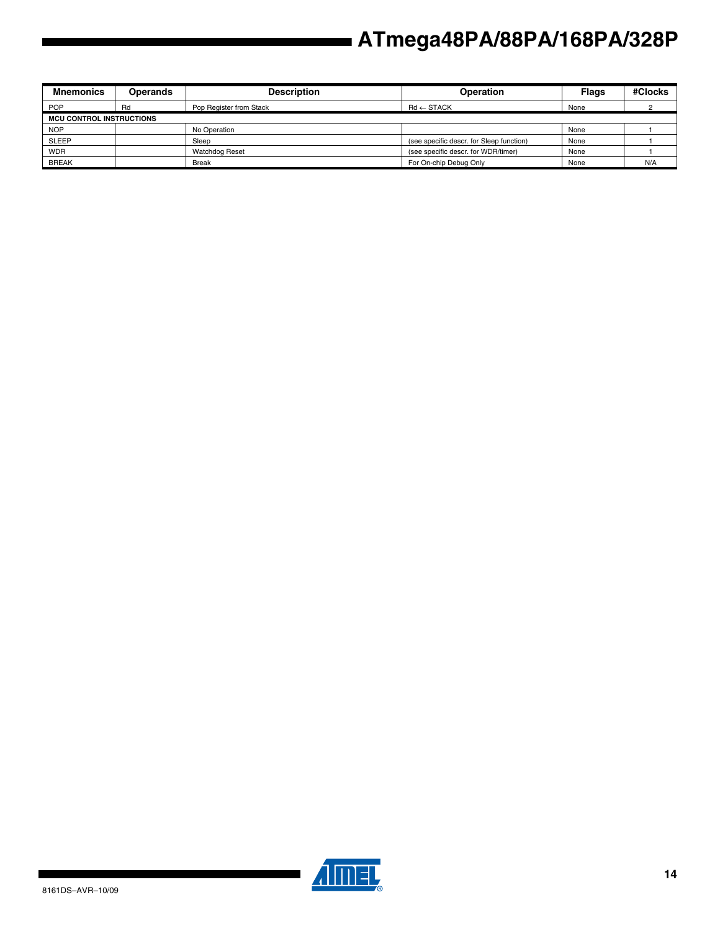| <b>Mnemonics</b>                | <b>Operands</b> | <b>Description</b>      | <b>Operation</b>                         | <b>Flags</b> | #Clocks |
|---------------------------------|-----------------|-------------------------|------------------------------------------|--------------|---------|
| <b>POP</b>                      | Rd              | Pop Register from Stack | $Rd \leftarrow$ STACK                    | None         |         |
| <b>MCU CONTROL INSTRUCTIONS</b> |                 |                         |                                          |              |         |
| <b>NOP</b>                      |                 | No Operation            |                                          | None         |         |
| <b>SLEEP</b>                    |                 | Sleep                   | (see specific descr. for Sleep function) | None         |         |
| <b>WDR</b>                      |                 | <b>Watchdog Reset</b>   | (see specific descr. for WDR/timer)      | None         |         |
| <b>BREAK</b>                    |                 | <b>Break</b>            | For On-chip Debug Only                   | None         | N/A     |



▊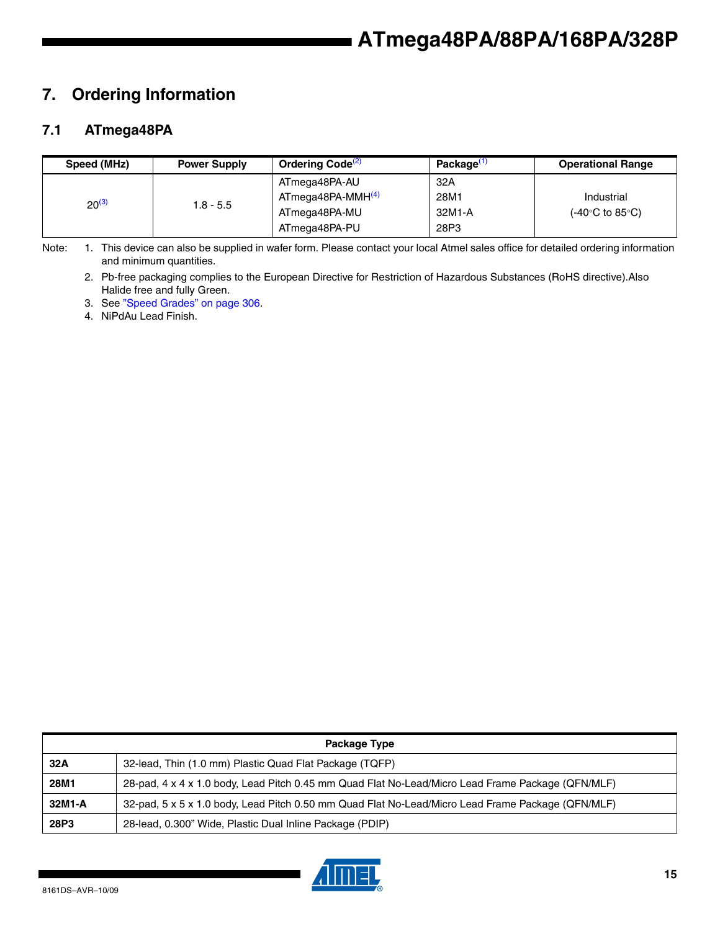# **7. Ordering Information**

### **7.1 ATmega48PA**

| Speed (MHz) | <b>Power Supply</b> | Ordering Code <sup>(2)</sup>  | Package <sup>(1</sup> | <b>Operational Range</b>                 |
|-------------|---------------------|-------------------------------|-----------------------|------------------------------------------|
|             |                     | ATmega48PA-AU                 | 32A                   |                                          |
| $20^{(3)}$  | $1.8 - 5.5$         | ATmega48PA-MMH <sup>(4)</sup> | 28M1                  | Industrial                               |
|             |                     | ATmega48PA-MU                 | 32M1-A                | $(-40^{\circ}C \text{ to } 85^{\circ}C)$ |
|             |                     | ATmega48PA-PU                 | 28P3                  |                                          |

Note: 1. This device can also be supplied in wafer form. Please contact your local Atmel sales office for detailed ordering information and minimum quantities.

2. Pb-free packaging complies to the European Directive for Restriction of Hazardous Substances (RoHS directive).Also Halide free and fully Green.

3. See "Speed Grades" on page 306.

4. NiPdAu Lead Finish.

|        | Package Type                                                                                      |  |  |  |  |  |
|--------|---------------------------------------------------------------------------------------------------|--|--|--|--|--|
| 32A    | 32-lead, Thin (1.0 mm) Plastic Quad Flat Package (TQFP)                                           |  |  |  |  |  |
| 28M1   | 28-pad, 4 x 4 x 1.0 body, Lead Pitch 0.45 mm Quad Flat No-Lead/Micro Lead Frame Package (QFN/MLF) |  |  |  |  |  |
| 32M1-A | 32-pad, 5 x 5 x 1.0 body, Lead Pitch 0.50 mm Quad Flat No-Lead/Micro Lead Frame Package (QFN/MLF) |  |  |  |  |  |
| 28P3   | 28-lead, 0.300" Wide, Plastic Dual Inline Package (PDIP)                                          |  |  |  |  |  |

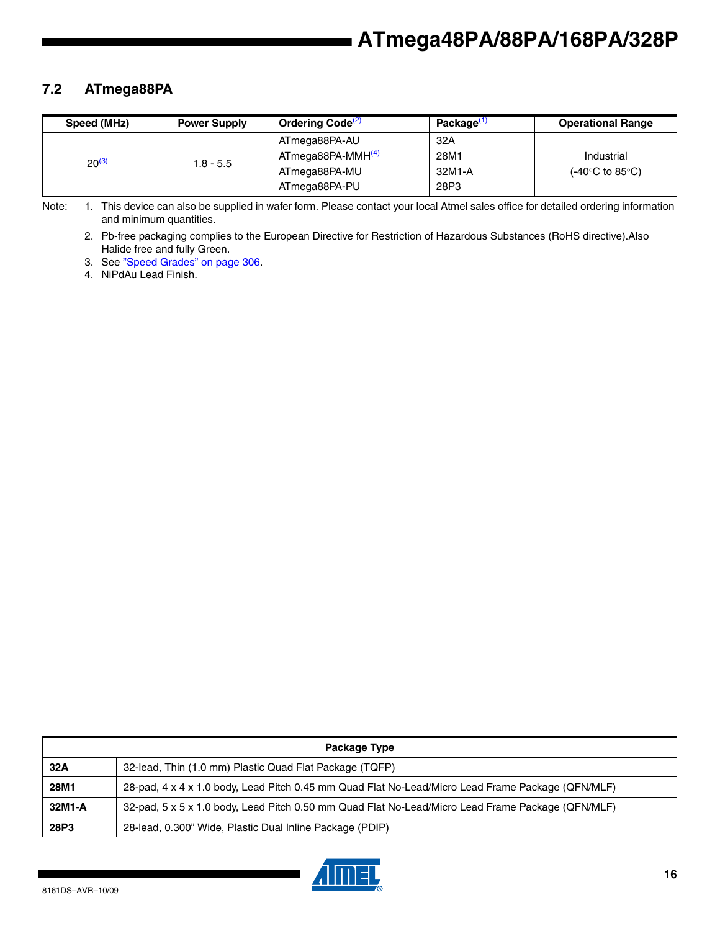### **7.2 ATmega88PA**

| Speed (MHz) | <b>Power Supply</b> | Ordering Code <sup>(2)</sup>  | Package <sup>(1</sup> | <b>Operational Range</b> |
|-------------|---------------------|-------------------------------|-----------------------|--------------------------|
|             |                     | ATmega88PA-AU                 | 32A                   |                          |
| $20^{(3)}$  | 1.8 - 5.5           | ATmega88PA-MMH <sup>(4)</sup> | 28M1                  | Industrial               |
|             |                     | ATmega88PA-MU                 | 32M1-A                | (-40°C to 85°C).         |
|             |                     | ATmega88PA-PU                 | 28P3                  |                          |

Note: 1. This device can also be supplied in wafer form. Please contact your local Atmel sales office for detailed ordering information and minimum quantities.

2. Pb-free packaging complies to the European Directive for Restriction of Hazardous Substances (RoHS directive).Also Halide free and fully Green.

3. See "Speed Grades" on page 306.

4. NiPdAu Lead Finish.

|        | Package Type                                                                                      |  |  |  |  |  |
|--------|---------------------------------------------------------------------------------------------------|--|--|--|--|--|
| 32A    | 32-lead, Thin (1.0 mm) Plastic Quad Flat Package (TQFP)                                           |  |  |  |  |  |
| 28M1   | 28-pad, 4 x 4 x 1.0 body, Lead Pitch 0.45 mm Quad Flat No-Lead/Micro Lead Frame Package (QFN/MLF) |  |  |  |  |  |
| 32M1-A | 32-pad, 5 x 5 x 1.0 body, Lead Pitch 0.50 mm Quad Flat No-Lead/Micro Lead Frame Package (QFN/MLF) |  |  |  |  |  |
| 28P3   | 28-lead, 0.300" Wide, Plastic Dual Inline Package (PDIP)                                          |  |  |  |  |  |

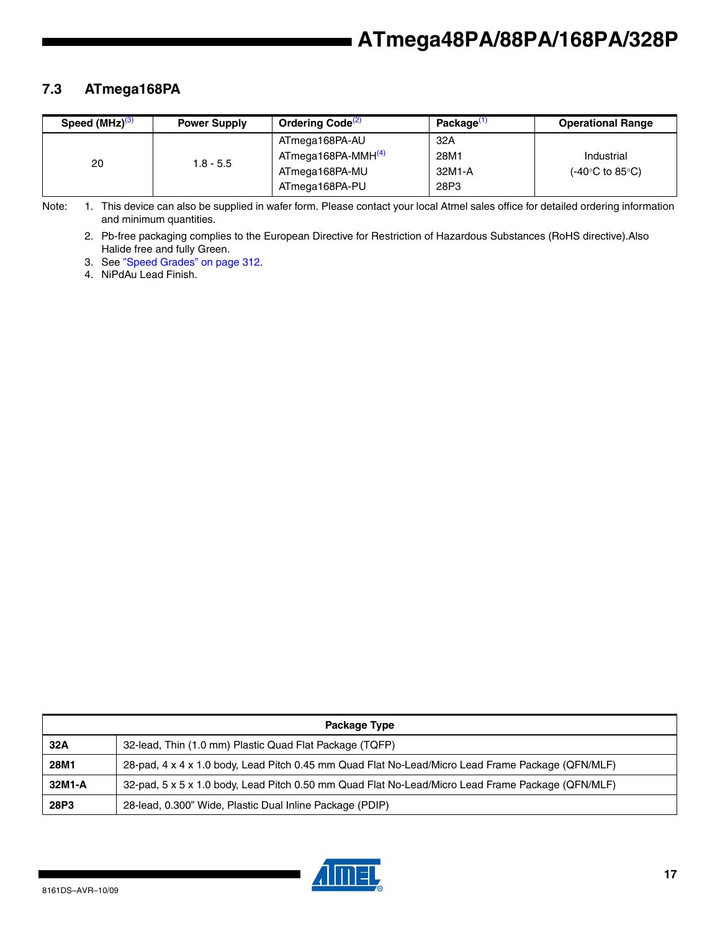### **7.3 ATmega168PA**

| Speed $(MHz)^{(3)}$ | <b>Power Supply</b> | Ordering Code <sup>(2)</sup>   | Package <sup>(1</sup> | <b>Operational Range</b> |
|---------------------|---------------------|--------------------------------|-----------------------|--------------------------|
| 20                  | $1.8 - 5.5$         | ATmega168PA-AU                 | 32A                   |                          |
|                     |                     | ATmega168PA-MMH <sup>(4)</sup> | 28M1                  | Industrial               |
|                     |                     | ATmega168PA-MU                 | 32M1-A                | (-40°C to 85°C).         |
|                     |                     | ATmega168PA-PU                 | 28P3                  |                          |

Note: 1. This device can also be supplied in wafer form. Please contact your local Atmel sales office for detailed ordering information and minimum quantities.

2. Pb-free packaging complies to the European Directive for Restriction of Hazardous Substances (RoHS directive).Also Halide free and fully Green.

3. See "Speed Grades" on page 312.

4. NiPdAu Lead Finish.

| Package Type |                                                                                                   |  |  |
|--------------|---------------------------------------------------------------------------------------------------|--|--|
| 32A          | 32-lead, Thin (1.0 mm) Plastic Quad Flat Package (TQFP)                                           |  |  |
| 28M1         | 28-pad, 4 x 4 x 1.0 body, Lead Pitch 0.45 mm Quad Flat No-Lead/Micro Lead Frame Package (QFN/MLF) |  |  |
| 32M1-A       | 32-pad, 5 x 5 x 1.0 body, Lead Pitch 0.50 mm Quad Flat No-Lead/Micro Lead Frame Package (QFN/MLF) |  |  |
| 28P3         | 28-lead, 0.300" Wide, Plastic Dual Inline Package (PDIP)                                          |  |  |

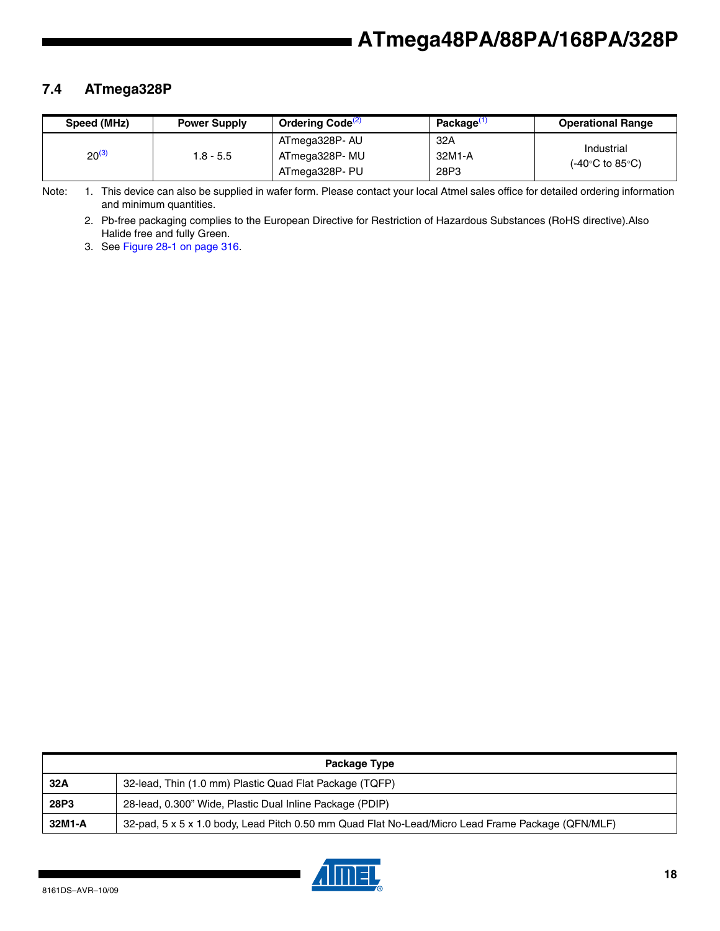### **7.4 ATmega328P**

| Speed (MHz) | <b>Power Supply</b> | Ordering Code <sup>(2)</sup> | Package <sup>(1</sup> | <b>Operational Range</b>       |
|-------------|---------------------|------------------------------|-----------------------|--------------------------------|
| $20^{(3)}$  | 1.8 - 5.5           | ATmega328P- AU               | 32A                   | Industrial<br>(-40°C to 85°C). |
|             |                     | ATmega328P- MU               | 32M1-A                |                                |
|             |                     | ATmega328P- PU               | 28P3                  |                                |

Note: 1. This device can also be supplied in wafer form. Please contact your local Atmel sales office for detailed ordering information and minimum quantities.

2. Pb-free packaging complies to the European Directive for Restriction of Hazardous Substances (RoHS directive).Also Halide free and fully Green.

3. See Figure 28-1 on page 316.

|        | Package Type                                                                                      |
|--------|---------------------------------------------------------------------------------------------------|
| 32A    | 32-lead, Thin (1.0 mm) Plastic Quad Flat Package (TQFP)                                           |
| 28P3   | 28-lead, 0.300" Wide, Plastic Dual Inline Package (PDIP)                                          |
| 32M1-A | 32-pad, 5 x 5 x 1.0 body, Lead Pitch 0.50 mm Quad Flat No-Lead/Micro Lead Frame Package (QFN/MLF) |

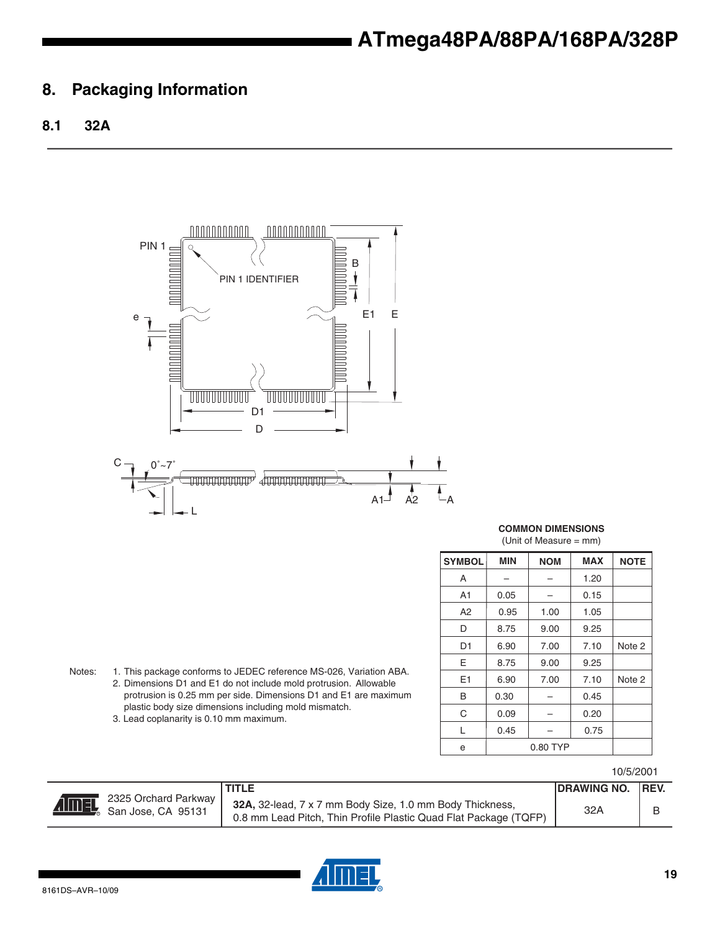### **8. Packaging Information**

### **8.1 32A**



**COMMON DIMENSIONS** (Unit of Measure = mm)

| <b>SYMBOL</b> | <b>MIN</b> | <b>NOM</b> | <b>MAX</b> | <b>NOTE</b>       |
|---------------|------------|------------|------------|-------------------|
| A             |            |            | 1.20       |                   |
| A1            | 0.05       |            | 0.15       |                   |
| А2            | 0.95       | 1.00       | 1.05       |                   |
| D             | 8.75       | 9.00       | 9.25       |                   |
| D1            | 6.90       | 7.00       | 7.10       | Note 2            |
| E             | 8.75       | 9.00       | 9.25       |                   |
| E1            | 6.90       | 7.00       | 7.10       | Note <sub>2</sub> |
| B             | 0.30       |            | 0.45       |                   |
| C             | 0.09       |            | 0.20       |                   |
| L             | 0.45       |            | 0.75       |                   |
| e             | 0.80 TYP   |            |            |                   |

Notes: 1. This package conforms to JEDEC reference MS-026, Variation ABA. 2. Dimensions D1 and E1 do not include mold protrusion. Allowable protrusion is 0.25 mm per side. Dimensions D1 and E1 are maximum plastic body size dimensions including mold mismatch. 3. Lead coplanarity is 0.10 mm maximum.

10/5/2001

|                                                               | <b>TITLE</b>                                                                                                                 | DRAWING NO.   REV. |  |
|---------------------------------------------------------------|------------------------------------------------------------------------------------------------------------------------------|--------------------|--|
| ■ 2325 Orchard Parkway  <br><b>AIMEL</b> 2325 Orchard Parkway | 32A, 32-lead, 7 x 7 mm Body Size, 1.0 mm Body Thickness,<br>0.8 mm Lead Pitch, Thin Profile Plastic Quad Flat Package (TQFP) | 32A                |  |

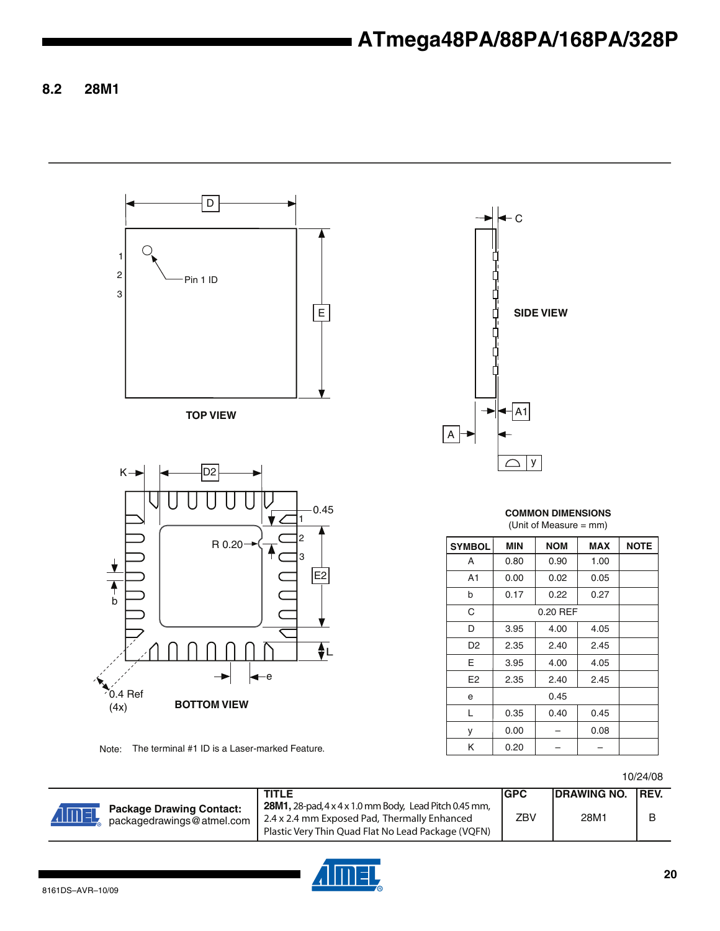**8.2 28M1**



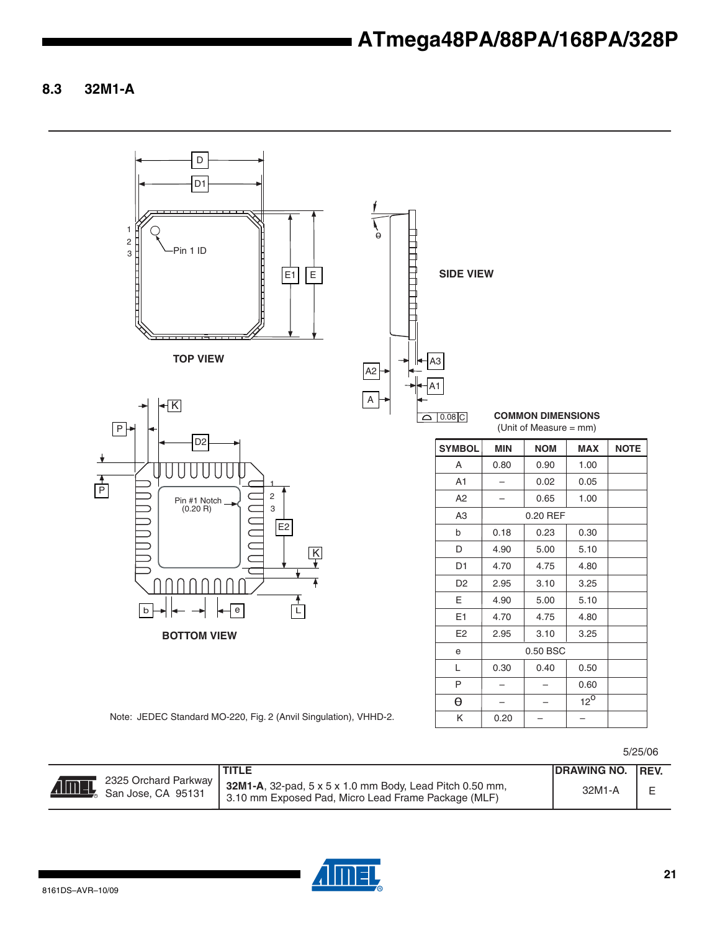**8.3 32M1-A**

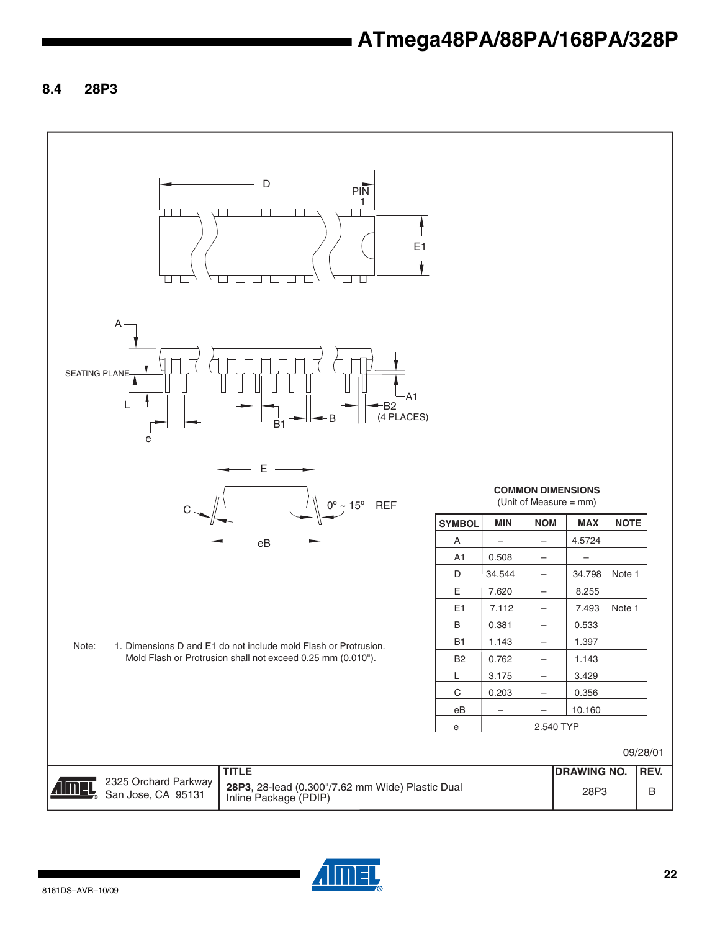**8.4 28P3**



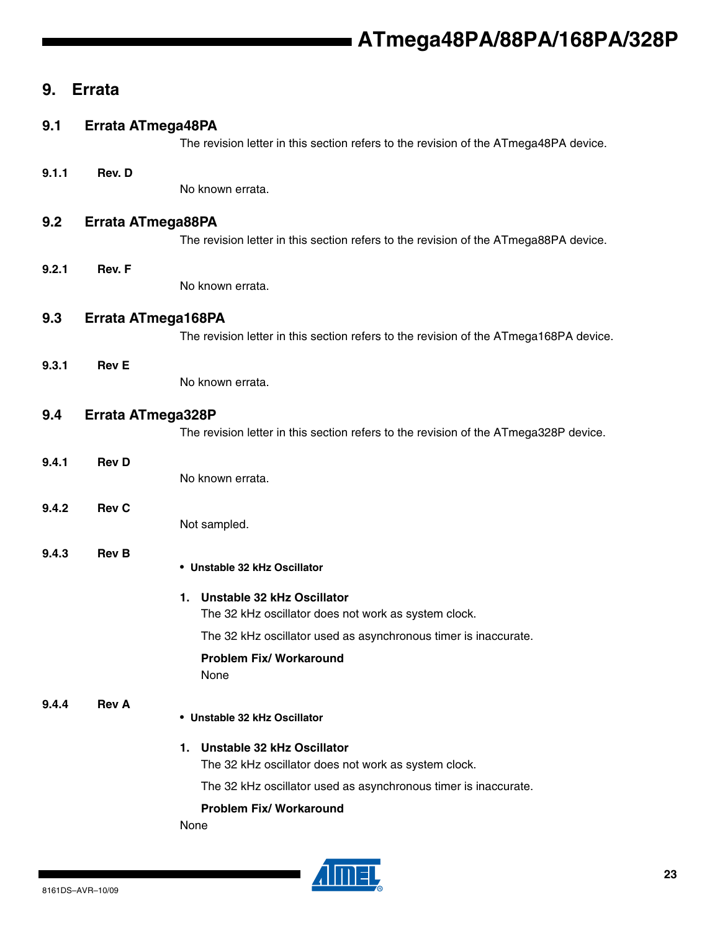### **9. Errata**

### **9.1 Errata ATmega48PA**

The revision letter in this section refers to the revision of the ATmega48PA device.

#### **9.1.1 Rev. D**

No known errata.

### **9.2 Errata ATmega88PA**

The revision letter in this section refers to the revision of the ATmega88PA device.

### **9.2.1 Rev. F**

No known errata.

### **9.3 Errata ATmega168PA**

The revision letter in this section refers to the revision of the ATmega168PA device.

#### **9.3.1 Rev E**

No known errata.

### **9.4 Errata ATmega328P**

The revision letter in this section refers to the revision of the ATmega328P device.

### **9.4.1 Rev D**

No known errata.

### **9.4.2 Rev C**

Not sampled.

### **9.4.3 Rev B**

• **Unstable 32 kHz Oscillator**

### **1. Unstable 32 kHz Oscillator**

The 32 kHz oscillator does not work as system clock.

The 32 kHz oscillator used as asynchronous timer is inaccurate.

#### **Problem Fix/ Workaround** None

### **9.4.4 Rev A**

### • **Unstable 32 kHz Oscillator**

#### **1. Unstable 32 kHz Oscillator**

The 32 kHz oscillator does not work as system clock.

The 32 kHz oscillator used as asynchronous timer is inaccurate.

#### **Problem Fix/ Workaround**

None

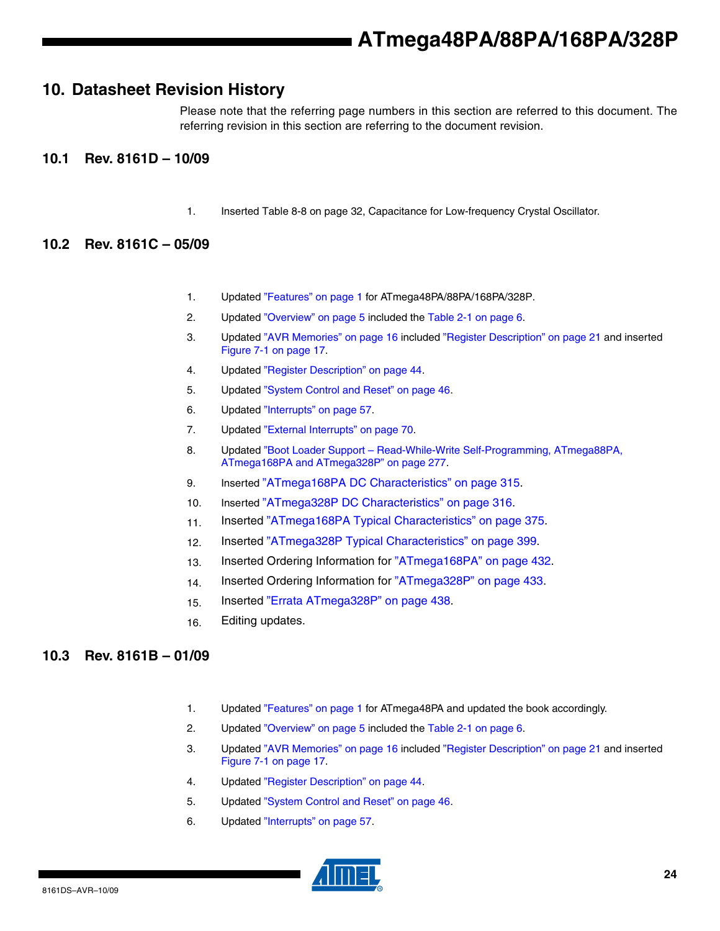### **10. Datasheet Revision History**

Please note that the referring page numbers in this section are referred to this document. The referring revision in this section are referring to the document revision.

### **10.1 Rev. 8161D – 10/09**

1. Inserted Table 8-8 on page 32, Capacitance for Low-frequency Crystal Oscillator.

### **10.2 Rev. 8161C – 05/09**

- 1. Updated "Features" on page 1 for ATmega48PA/88PA/168PA/328P.
- 2. Updated "Overview" on page 5 included the Table 2-1 on page 6.
- 3. Updated "AVR Memories" on page 16 included "Register Description" on page 21 and inserted Figure 7-1 on page 17.
- 4. Updated "Register Description" on page 44.
- 5. Updated "System Control and Reset" on page 46.
- 6. Updated "Interrupts" on page 57.
- 7. Updated "External Interrupts" on page 70.
- 8. Updated "Boot Loader Support Read-While-Write Self-Programming, ATmega88PA, ATmega168PA and ATmega328P" on page 277.
- 9. Inserted "ATmega168PA DC Characteristics" on page 315.
- 10. Inserted "ATmega328P DC Characteristics" on page 316.
- 11. Inserted "ATmega168PA Typical Characteristics" on page 375.
- 12. Inserted "ATmega328P Typical Characteristics" on page 399.
- 13. Inserted Ordering Information for "ATmega168PA" on page 432.
- 14. Inserted Ordering Information for "ATmega328P" on page 433.
- 15. Inserted "Errata ATmega328P" on page 438.
- 16. Editing updates.

### **10.3 Rev. 8161B – 01/09**

- 1. Updated "Features" on page 1 for ATmega48PA and updated the book accordingly.
- 2. Updated "Overview" on page 5 included the Table 2-1 on page 6.
- 3. Updated "AVR Memories" on page 16 included "Register Description" on page 21 and inserted Figure 7-1 on page 17.
- 4. Updated "Register Description" on page 44.
- 5. Updated "System Control and Reset" on page 46.
- 6. Updated "Interrupts" on page 57.

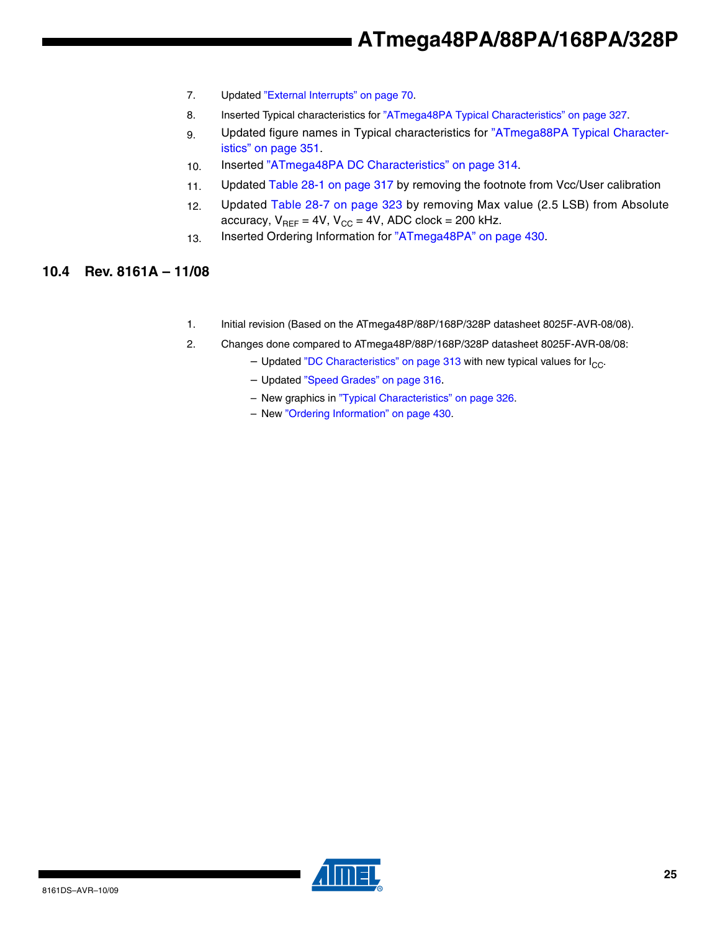- 7. Updated "External Interrupts" on page 70.
- 8. Inserted Typical characteristics for "ATmega48PA Typical Characteristics" on page 327.
- 9. Updated figure names in Typical characteristics for "ATmega88PA Typical Characteristics" on page 351.
- 10. Inserted "ATmega48PA DC Characteristics" on page 314.
- 11. Updated Table 28-1 on page 317 by removing the footnote from Vcc/User calibration
- 12. Updated Table 28-7 on page 323 by removing Max value (2.5 LSB) from Absolute accuracy,  $V_{REF} = 4V$ ,  $V_{CC} = 4V$ , ADC clock = 200 kHz.
- 13. Inserted Ordering Information for "ATmega48PA" on page 430.

### **10.4 Rev. 8161A – 11/08**

- 1. Initial revision (Based on the ATmega48P/88P/168P/328P datasheet 8025F-AVR-08/08).
- 2. Changes done compared to ATmega48P/88P/168P/328P datasheet 8025F-AVR-08/08:
	- Updated "DC Characteristics" on page 313 with new typical values for  $I_{CC}$ .
	- Updated "Speed Grades" on page 316.
	- New graphics in "Typical Characteristics" on page 326.
	- New "Ordering Information" on page 430.